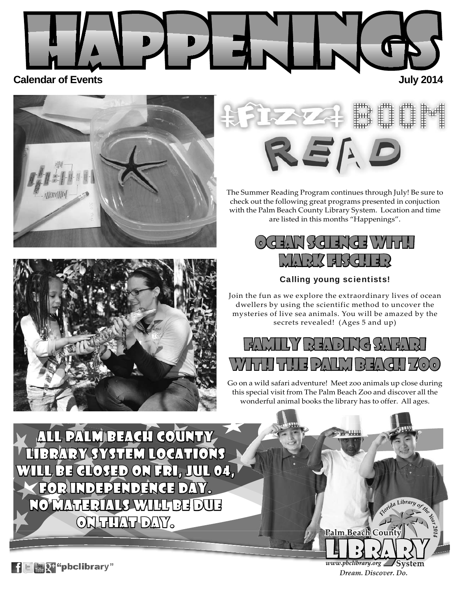







The Summer Reading Program continues through July! Be sure to check out the following great programs presented in conjuction with the Palm Beach County Library System. Location and time are listed in this months "Happenings".



Calling young scientists!

Join the fun as we explore the extraordinary lives of ocean dwellers by using the scientific method to uncover the mysteries of live sea animals. You will be amazed by the secrets revealed! (Ages 5 and up)



Go on a wild safari adventure! Meet zoo animals up close during this special visit from The Palm Beach Zoo and discover all the wonderful animal books the library has to offer. All ages.

ALL PALM BEACH COUNTY BRARY SYSTEM LOCATIONS will be closed on Fri, Jul 04, ill for Independence Day. or No materials will be due o ON THAT DAY.

> www.pbclibrary.org 'System Dream. Discover. Do.

Palm Beach County

*<sup>F</sup>lorid<sup>a</sup> <sup>L</sup>ibra<sup>r</sup><sup>y</sup> <sup>o</sup><sup>f</sup> <sup>t</sup>h<sup>e</sup> <sup>Y</sup><sup>e</sup>a<sup>r</sup>*

 $\mathbf{F} \in \mathbb{C}$  "pbclibrary"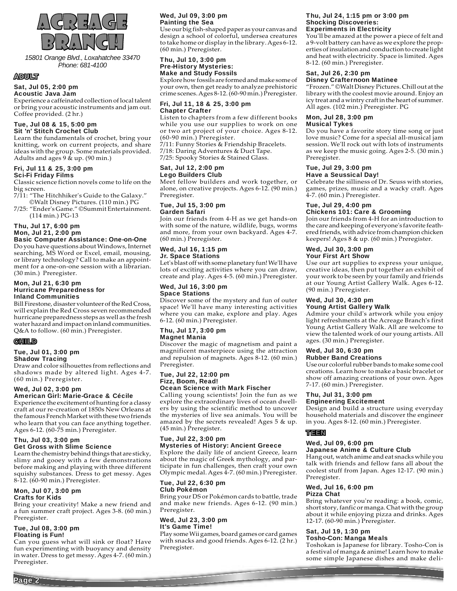

*15801 Orange Blvd., Loxahatchee 33470 Phone: 681-4100*

### ADULT

### Sat, Jul 05, 2:00 pm

Acoustic Java Jam Experience a caffeinated collection of local talent

or bring your acoustic instruments and jam out. Coffee provided. (2 hr.)

#### Tue, Jul 08 & 15, 5:00 pm Sit 'n' Stitch Crochet Club

Learn the fundamentals of crochet, bring your knitting, work on current projects, and share ideas with the group. Some materials provided. Adults and ages 9 & up. (90 min.)

#### Fri, Jul 11 & 25, 3:00 pm Sci-Fi Friday Films

Classic science fiction novels come to life on the big screen.

7/11: "The Hitchhiker's Guide to the Galaxy." ©Walt Disney Pictures. (110 min.) PG

7/25: "Ender's Game." ©Summit Entertainment. (114 min.) PG-13

### Thu, Jul 17, 6:00 pm Mon, Jul 21, 2:00 pm

#### Basic Computer Assistance: One-on-One

Do you have questions about Windows, Internet searching, MS Word or Excel, email, mousing, or library technology? Call to make an appointment for a one-on-one session with a librarian. (30 min.) Preregister.

#### Mon, Jul 21, 6:30 pm Hurricane Preparedness for Inland Communities

Bill Firestone, disaster volunteer of the Red Cross, will explain the Red Cross seven recommended hurricane preparedness steps as well as the fresh water hazard and impact on inland communities. Q&A to follow. (60 min.) Preregister.

### **GHTLID**

#### Tue, Jul 01, 3:00 pm Shadow Tracing

Draw and color silhouettes from reflections and shadows made by altered light. Ages 4-7. (60 min.) Preregister.

### Wed, Jul 02, 3:00 pm

#### American Girl: Marie-Grace & Cécile Experience the excitement of hunting for a classy craft at our re-creation of 1850s New Orleans at the famous French Market with these two friends

who learn that you can face anything together. Ages 6-12. (60-75 min.) Preregister.

#### Thu, Jul 03, 3:00 pm Get Gross with Slime Science

Learn the chemistry behind things that are sticky, slimy and gooey with a few demonstrations before making and playing with three different squishy substances. Dress to get messy. Ages 8-12. (60-90 min.) Preregister.

#### Mon, Jul 07, 3:00 pm Crafts for Kids

Bring your creativity! Make a new friend and a fun summer craft project. Ages 3-8. (60 min.) Preregister.

#### Tue, Jul 08, 3:00 pm Floating is Fun!

Can you guess what will sink or float? Have fun experimenting with buoyancy and density in water. Dress to get messy. Ages 4-7. (60 min.) Preregister.

### Wed, Jul 09, 3:00 pm Painting the Sea

Use our big fish-shaped paper as your canvas and design a school of colorful, undersea creatures to take home or display in the library. Ages 6-12. (60 min.) Preregister.

#### Thu, Jul 10, 3:00 pm Pre-History Mysteries: Make and Study Fossils

Explore how fossils are formed and make some of your own, then get ready to analyze prehistoric crime scenes. Ages 8-12. (60-90 min.) Preregister.

#### Fri, Jul 11, 18 & 25, 3:00 pm Chapter Crafter

Listen to chapters from a few different books while you use our supplies to work on one or two art project of your choice. Ages 8-12. (60-90 min.) Preregister.

7/11: Funny Stories & Friendship Bracelets. 7/18: Daring Adventures & Duct Tape. 7/25: Spooky Stories & Stained Glass.

#### Sat, Jul 12, 2:00 pm Lego Builders Club

Meet fellow builders and work together, or alone, on creative projects. Ages 6-12. (90 min.) Preregister.

#### Tue, Jul 15, 3:00 pm Garden Safari

Join our friends from 4-H as we get hands-on with some of the nature, wildlife, bugs, worms and more, from your own backyard. Ages 4-7. (60 min.) Preregister.

#### Wed, Jul 16, 1:15 pm Jr. Space Stations

Let's blast off with some planetary fun! We'll have lots of exciting activities where you can draw, create and play. Ages 4-5. (60 min.) Preregister.

### Wed, Jul 16, 3:00 pm Space Stations

Discover some of the mystery and fun of outer space! We'll have many interesting activities where you can make, explore and play. Ages 6-12. (60 min.) Preregister.

#### Thu, Jul 17, 3:00 pm Magnet Mania

Discover the magic of magnetism and paint a magnificent masterpiece using the attraction and repulsion of magnets. Ages 8-12. (60 min.) Preregister.

#### Tue, Jul 22, 12:00 pm Fizz, Boom, Read! Ocean Science with Mark Fischer

Calling young scientists! Join the fun as we explore the extraordinary lives of ocean dwellers by using the scientific method to uncover the mysteries of live sea animals. You will be amazed by the secrets revealed! Ages 5 & up. (45 min.) Preregister.

### Tue, Jul 22, 3:00 pm Mysteries of History: Ancient Greece

Explore the daily life of ancient Greece, learn about the magic of Greek mythology, and participate in fun challenges, then craft your own Olympic medal. Ages 4-7. (60 min.) Preregister.

#### Tue, Jul 22, 6:30 pm Club Pokémon

Bring your DS or Pokémon cards to battle, trade and make new friends. Ages 6-12. (90 min.) Preregister.

#### Wed, Jul 23, 3:00 pm It's Game Time!

Play some Wii games, board games or card games with snacks and good friends. Ages 6-12. (2 hr.) Preregister.

#### Thu, Jul 24, 1:15 pm or 3:00 pm Shocking Discoveries: Experiments in Electricity

You'll be amazed at the power a piece of felt and a 9-volt battery can have as we explore the properties of insulation and conduction to create light and heat with electricity. Space is limited. Ages 8-12. (60 min.) Preregister.

### Sat, Jul 26, 2:30 pm

#### Disney Crafternoon Matinee

"Frozen." ©Walt Disney Pictures. Chill out at the library with the coolest movie around. Enjoy an icy treat and a wintry craft in the heart of summer. All ages. (102 min.) Preregister. PG

#### Mon, Jul 28, 3:00 pm Musical Tykes

Do you have a favorite story time song or just love music? Come for a special all-musical jam session. We'll rock out with lots of instruments as we keep the music going. Ages 2-5. (30 min.) Preregister.

#### Tue, Jul 29, 3:00 pm Have a Seussical Day!

Celebrate the silliness of Dr. Seuss with stories, games, prizes, music and a wacky craft. Ages 4-7. (60 min.) Preregister.

### Tue, Jul 29, 4:00 pm

### Chickens 101: Care & Grooming

Join our friends from 4-H for an introduction to the care and keeping of everyone's favorite feathered friends, with advice from champion chicken keepers! Ages 8 & up. (60 min.) Preregister.

#### Wed, Jul 30, 3:00 pm Your First Art Show

Use our art supplies to express your unique, creative ideas, then put together an exhibit of your work to be seen by your family and friends at our Young Artist Gallery Walk. Ages 6-12. (90 min.) Preregister.

#### Wed, Jul 30, 4:30 pm Young Artist Gallery Walk

Admire your child's artwork while you enjoy light refreshments at the Acreage Branch's first Young Artist Gallery Walk. All are welcome to view the talented work of our young artists. All ages. (30 min.) Preregister.

#### Wed, Jul 30, 6:30 pm Rubber Band Creations

Use our colorful rubber bands to make some cool creations. Learn how to make a basic bracelet or show off amazing creations of your own. Ages 7-17. (60 min.) Preregister.

#### Thu, Jul 31, 3:00 pm Engineering Excitement

Design and build a structure using everyday household materials and discover the engineer in you. Ages 8-12. (60 min.) Preregister.

### TEEN

#### Wed, Jul 09, 6:00 pm Japanese Anime & Culture Club

Hang out, watch anime and eat snacks while you talk with friends and fellow fans all about the coolest stuff from Japan. Ages 12-17. (90 min.) Preregister.

#### Wed, Jul 16, 6:00 pm Pizza Chat

Bring whatever you're reading: a book, comic, short story, fanfic or manga. Chat with the group about it while enjoying pizza and drinks. Ages 12-17. (60-90 min.) Preregister.

### Sat, Jul 19, 1:30 pm

### Tosho-Con: Manga Meals

Toshokan is Japanese for library. Tosho-Con is a festival of manga & anime! Learn how to make some simple Japanese dishes and make deli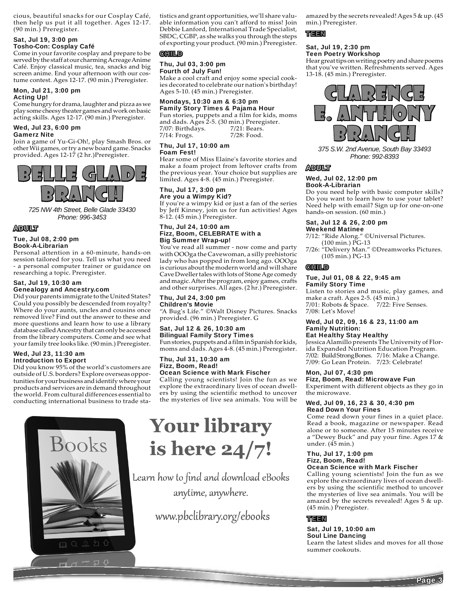cious, beautiful snacks for our Cosplay Café, then help us put it all together. Ages 12-17. (90 min.) Preregister.

#### Sat, Jul 19, 3:00 pm Tosho-Con: Cosplay Café

Come in your favorite cosplay and prepare to be served by the staff at our charming Acreage Anime Café. Enjoy classical music, tea, snacks and big screen anime. End your afternoon with our costume contest. Ages 12-17. (90 min.) Preregister.

#### Mon, Jul 21, 3:00 pm Acting Up!

Come hungry for drama, laughter and pizza as we play some cheesy theater games and work on basic acting skills. Ages 12-17. (90 min.) Preregister.

#### Wed, Jul 23, 6:00 pm Gamerz Nite

Join a game of Yu-Gi-Oh!, play Smash Bros. or other Wii games, or try a new board game. Snacks provided. Ages 12-17 (2 hr.)Preregister.



*725 NW 4th Street, Belle Glade 33430 Phone: 996-3453*

### ADULT

#### Tue, Jul 08, 2:00 pm Book-A-Librarian

Personal attention in a 60-minute, hands-on session tailored for you. Tell us what you need - a personal computer trainer or guidance on researching a topic. Preregister.

#### Sat, Jul 19, 10:30 am Genealogy and Ancestry.com

Did your parents immigrate to the United States? Could you possibly be descended from royalty? Where do your aunts, uncles and cousins once removed live? Find out the answer to these and more questions and learn how to use a library database called Ancestry that can only be accessed from the library computers. Come and see what your family tree looks like. (90 min.) Preregister.

#### Wed, Jul 23, 11:30 am Introduction to Export

Did you know 95% of the world's customers are outside of U.S. borders? Explore overseas opportunities for your business and identify where your products and services are in demand throughout the world. From cultural differences essential to conducting international business to trade sta-



tistics and grant opportunities, we'll share valuable information you can't afford to miss! Join Debbie Lanford, International Trade Specialist, SBDC, CGBP, as she walks you through the steps of exporting your product. (90 min.) Preregister.

### **CHILD**

### Thu, Jul 03, 3:00 pm Fourth of July Fun!

Make a cool craft and enjoy some special cookies decorated to celebrate our nation's birthday! Ages 5-10. (45 min.) Preregister.

### Mondays, 10:30 am & 6:30 pm Family Story Times & Pajama Hour

Fun stories, puppets and a film for kids, moms and dads. Ages 2-5. (30 min.) Preregister. 7/07: Birthdays. 7/14: Frogs. 7/21: Bears. 7/28: Food.

#### Thu, Jul 17, 10:00 am Foam Fest!

Hear some of Miss Elaine's favorite stories and make a foam project from leftover crafts from the previous year. Your choice but supplies are limited. Ages 4-8. (45 min.) Preregister.

#### Thu, Jul 17, 3:00 pm Are you a Wimpy Kid?

If you're a wimpy kid or just a fan of the series by Jeff Kinney, join us for fun activities! Ages 8-12. (45 min.) Preregister.

#### Thu, Jul 24, 10:00 am Fizz, Boom, CELEBRATE with a Big Summer Wrap-up!

You've read all summer - now come and party with OOOga the Cavewoman, a silly prehistoric lady who has popped in from long ago. OOOga is curious about the modern world and will share Cave Dweller tales with lots of Stone Age comedy and magic. After the program, enjoy games, crafts and other surprises. All ages. (2 hr.) Preregister.

#### Thu, Jul 24, 3:00 pm Children's Movie

"A Bug's Life." ©Walt Disney Pictures. Snacks provided. (96 min.) Preregister. G

### Sat, Jul 12 & 26, 10:30 am Bilingual Family Story Times

Fun stories, puppets and a film in Spanish for kids, moms and dads. Ages 4-8. (45 min.) Preregister.

#### Thu, Jul 31, 10:30 am Fizz, Boom, Read! Ocean Science with Mark Fischer

Calling young scientists! Join the fun as we explore the extraordinary lives of ocean dwellers by using the scientific method to uncover the mysteries of live sea animals. You will be

# **Your library** is here 24/7!

Learn how to find and download eBooks anytime, anywhere.

www.pbclibrary.org/ebooks

amazed by the secrets revealed! Ages 5 & up. (45 min.) Preregister.

### TEEN

#### Sat, Jul 19, 2:30 pm Teen Poetry Workshop

Hear great tips on writing poetry and share poems that you've written. Refreshments served. Ages 13-18. (45 min.) Preregister.



*375 S.W. 2nd Avenue, South Bay 33493 Phone: 992-8393*

### ADULT

#### Wed, Jul 02, 12:00 pm Book-A-Librarian

Do you need help with basic computer skills? Do you want to learn how to use your tablet? Need help with email? Sign up for one-on-one hands-on session. (60 min.)

#### Sat, Jul 12 & 26, 2:00 pm Weekend Matinee

7/12: "Ride Along." ©Universal Pictures. (100 min.) PG-13

7/26: "Delivery Man." ©Dreamworks Pictures. (105 min.) PG-13

### CHILD

#### Tue, Jul 01, 08 & 22, 9:45 am Family Story Time

Listen to stories and music, play games, and make a craft. Ages 2-5. (45 min.) 7/01: Robots & Space. 7/22: Five Senses. 7/08: Let's Move!

#### Wed, Jul 02, 09, 16 & 23, 11:00 am Family Nutrition:

### Eat Healthy Stay Healthy

Jessica Alamillo presents The University of Florida Expanded Nutrition Education Program. 7/02: Build Strong Bones. 7/16: Make a Change. 7/09: Go Lean Protein. 7/23: Celebrate!

### Mon, Jul 07, 4:30 pm

Fizz, Boom, Read: Microwave Fun Experiment with different objects as they go in the microwave.

#### Wed, Jul 09, 16, 23 & 30, 4:30 pm Read Down Your Fines

Come read down your fines in a quiet place. Read a book, magazine or newspaper. Read alone or to someone. After 15 minutes receive a "Dewey Buck" and pay your fine. Ages 17 & under.  $(45 \text{ min.})$ 

#### Thu, Jul 17, 1:00 pm Fizz, Boom, Read! Ocean Science with Mark Fischer

Calling young scientists! Join the fun as we explore the extraordinary lives of ocean dwellers by using the scientific method to uncover the mysteries of live sea animals. You will be amazed by the secrets revealed! Ages 5 & up. (45 min.) Preregister.

### TEEN

#### Sat, Jul 19, 10:00 am Soul Line Dancing

Learn the latest slides and moves for all those summer cookouts.

**Page**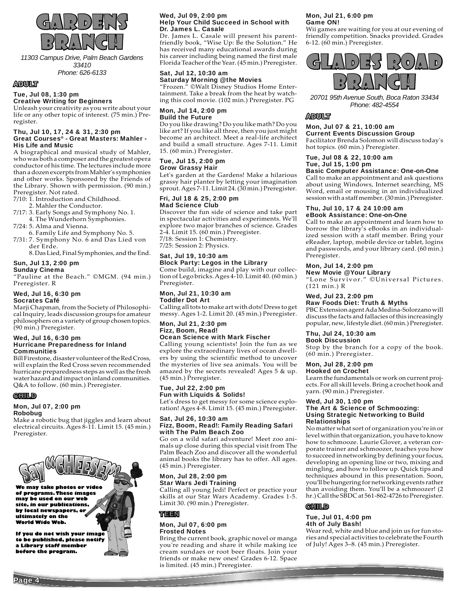

*11303 Campus Drive, Palm Beach Gardens 33410 Phone: 626-6133*

#### ADULT

### Tue, Jul 08, 1:30 pm

Creative Writing for Beginners

Unleash your creativity as you write about your life or any other topic of interest. (75 min.) Preregister.

#### Thu, Jul 10, 17, 24 & 31, 2:30 pm Great Courses® - Great Masters: Mahler - His Life and Music

A biographical and musical study of Mahler, who was both a composer and the greatest opera conductor of his time. The lectures include more than a dozen excerpts from Mahler's symphonies and other works. Sponsored by the Friends of the Library. Shown with permission. (90 min.) Preregister. Not rated.

7/10: 1. Introduction and Childhood.

- 2. Mahler the Conductor.
- 7/17: 3. Early Songs and Symphony No. 1. 4. The Wunderhorn Symphonies.
- 7/24: 5. Alma and Vienna.
- 6. Family Life and Symphony No. 5. 7/31: 7. Symphony No. 6 and Das Lied von
	- der Erde. 8. Das Lied, Final Symphonies, and the End.

### Sun, Jul 13, 2:00 pm

Sunday Cinema

"Pauline at the Beach." ©MGM. (94 min.) Preregister. R

### Wed, Jul 16, 6:30 pm

#### Socrates Café

Marji Chapman, from the Society of Philosophical Inquiry, leads discussion groups for amateur philosophers on a variety of group chosen topics. (90 min.) Preregister.

#### Wed, Jul 16, 6:30 pm Hurricane Preparedness for Inland Communities

Bill Firestone, disaster volunteer of the Red Cross, will explain the Red Cross seven recommended hurricane preparedness steps as well as the fresh water hazard and impact on inland communities. Q&A to follow. (60 min.) Preregister.

#### CHILD

#### Mon, Jul 07, 2:00 pm Robobug

Make a robotic bug that jiggles and learn about electrical circuits. Ages 8-11. Limit 15. (45 min.) Preregister.



#### Wed, Jul 09, 2:00 pm Help Your Child Succeed in School with Dr. James L. Casale

Dr. James L. Casale will present his parentfriendly book, "Wise Up: Be the Solution." He has received many educational awards during his career including being named the first male Florida Teacher of the Year. (45 min.) Preregister.

#### Sat, Jul 12, 10:30 am Saturday Morning @ the Movies

"Frozen." ©Walt Disney Studios Home Entertainment. Take a break from the heat by watching this cool movie. (102 min.) Preregister. PG

#### Mon, Jul 14, 2:00 pm Build the Future

Do you like drawing? Do you like math? Do you like art? If you like all three, then you just might become an architect. Meet a real-life architect and build a small structure. Ages 7-11. Limit 15. (60 min.) Preregister.

#### Tue, Jul 15, 2:00 pm Grow Grassy Hair

Let's garden at the Gardens! Make a hilarious grassy hair planter by letting your imagination sprout. Ages 7-11. Limit 24. (30 min.) Preregister.

#### Fri, Jul 18 & 25, 2:00 pm Mad Science Club

Discover the fun side of science and take part in spectacular activities and experiments. We'll explore two major branches of science. Grades 2-4. Limit 15. (60 min.) Preregister. 7/18: Session 1: Chemistry.

7/25: Session 2: Physics.

### Sat, Jul 19, 10:30 am

Block Party: Legos in the Library Come build, imagine and play with our collection of Lego bricks. Ages 4-10. Limit 40. (60 min.) Preregister.

#### Mon, Jul 21, 10:30 am Toddler Dot Art

Calling all tots to make art with dots! Dress to get messy. Ages 1-2. Limit 20. (45 min.) Preregister.

#### Mon, Jul 21, 2:30 pm Fizz, Boom, Read! Ocean Science with Mark Fischer

Calling young scientists! Join the fun as we explore the extraordinary lives of ocean dwellers by using the scientific method to uncover the mysteries of live sea animals. You will be amazed by the secrets revealed! Ages 5 & up. (45 min.) Preregister.

#### Tue, Jul 22, 2:00 pm Fun with Liquids & Solids!

Let's dress to get messy for some science exploration! Ages 4-8. Limit 15. (45 min.) Preregister.

#### Sat, Jul 26, 10:30 am Fizz, Boom, Read!: Family Reading Safari with The Palm Beach Zoo

Go on a wild safari adventure! Meet zoo animals up close during this special visit from The Palm Beach Zoo and discover all the wonderful animal books the library has to offer. All ages. (45 min.) Preregister.

#### Mon, Jul 28, 2:00 pm Star Wars Jedi Training

Calling all young Jedi! Perfect or practice your skills at our Star Wars Academy. Grades 1-5. Limit 30. (90 min.) Preregister.

#### TEEN

#### Mon, Jul 07, 6:00 pm Frosted Notes

Bring the current book, graphic novel or manga you're reading and share it while making ice cream sundaes or root beer floats. Join your friends or make new ones! Grades 6-12. Space is limited. (45 min.) Preregister.

#### Mon, Jul 21, 6:00 pm Game ON!

Wii games are waiting for you at our evening of friendly competition. Snacks provided. Grades 6-12. (60 min.) Preregister.



*20701 95th Avenue South, Boca Raton 33434 Phone: 482-4554*

### ADULT

#### Mon, Jul 07 & 21, 10:00 am Current Events Discussion Group

Facilitator Brenda Solomon will discuss today's hot topics. (60 min.) Preregister.

### Tue, Jul 08 & 22, 10:00 am Tue, Jul 15, 1:00 pm

Basic Computer Assistance: One-on-One Call to make an appointment and ask questions

about using Windows, Internet searching, MS Word, email or mousing in an individualized session with a staff member. (30 min.) Preregister.

#### Thu, Jul 10, 17 & 24 10:00 am eBook Assistance: One-on-One

Call to make an appointment and learn how to borrow the library's eBooks in an individualized session with a staff member. Bring your eReader, laptop, mobile device or tablet, logins and passwords, and your library card. (60 min.) Preregister.

### Mon, Jul 14, 2:00 pm

New Movie @ Your Library

"Lone Survivor." ©Universal Pictures. (121 min.) R

### Wed, Jul 23, 2:00 pm

Raw Foods Diet: Truth & Myths PBC Extension agent Ada Medina-Solorzano will discuss the facts and fallacies of this increasingly popular, new, lifestyle diet. (60 min.) Preregister.

### Thu, Jul 24, 10:30 am

Book Discussion

Stop by the branch for a copy of the book. (60 min.) Preregister.

#### Mon, Jul 28, 2:00 pm Hooked on Crochet

Learn the fundamentals or work on current projects. For all skill levels. Bring a crochet hook and yarn. (90 min.) Preregister.

#### Wed, Jul 30, 1:00 pm The Art & Science of Schmoozing: Using Strategic Networking to Build Relationships

No matter what sort of organization you're in or level within that organization, you have to know how to schmooze. Laurie Glover, a veteran corporate trainer and schmoozer, teaches you how to succeed in networking by defining your focus, developing an opening line or two, mixing and mingling, and how to follow up. Quick tips and techniques abound in this presentation. Soon, you'll be hungering for networking events rather than avoiding them. You'll be a schmoozer! (2 hr.) Call the SBDC at 561-862-4726 to Preregister.

### **GHTLI**D

#### Tue, Jul 01, 4:00 pm 4th of July Bash!

Wear red, white and blue and join us for fun stories and special activities to celebrate the Fourth of July! Ages 3–8. (45 min.) Preregister.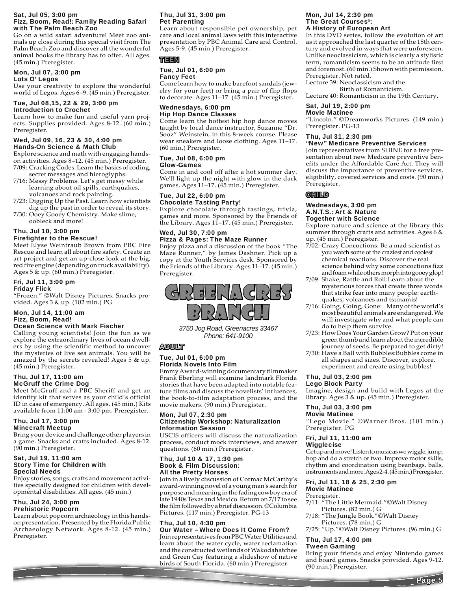#### Sat, Jul 05, 3:00 pm Fizz, Boom, Read!: Family Reading Safari with The Palm Beach Zoo

Go on a wild safari adventure! Meet zoo animals up close during this special visit from The Palm Beach Zoo and discover all the wonderful animal books the library has to offer. All ages. (45 min.) Preregister.

### Mon, Jul 07, 3:00 pm

Lots O' Legos

Use your creativity to explore the wonderful world of Legos. Ages 6–9. (45 min.) Preregister.

#### Tue, Jul 08,15, 22 & 29, 3:00 pm Introduction to Crochet

Learn how to make fun and useful yarn projects. Supplies provided. Ages 8-12. (60 min.) Preregister.

#### Wed, Jul 09, 16, 23 & 30, 4:00 pm Hands-On Science & Math Club

Explore science and math with engaging handson activities. Ages 8–12. (45 min.) Preregister. 7/09: Cracking Codes. Learn the basics of coding,

- secret messages and hieroglyphs. 7/16: Messy Problems. Let's get messy while
- learning about oil spills, earthquakes, volcanoes and rock painting.
- 7/23: Digging Up the Past. Learn how scientists dig up the past in order to reveal its story.
- 7/30: Ooey Gooey Chemistry. Make slime, oobleck and more!

#### Thu, Jul 10, 3:00 pm Firefighter to the Rescue!

Meet Elyse Weintraub Brown from PBC Fire Rescue and learn all about fire safety. Create an art project and get an up-close look at the big, red fire engine (depending on truck availability). Ages 5 & up. (60 min.) Preregister.

### Fri, Jul 11, 3:00 pm

#### Friday Flick

"Frozen." ©Walt Disney Pictures. Snacks provided. Ages 3 & up. (102 min.) PG

### Mon, Jul 14, 11:00 am Fizz, Boom, Read!

#### Ocean Science with Mark Fischer

Calling young scientists! Join the fun as we explore the extraordinary lives of ocean dwellers by using the scientific method to uncover the mysteries of live sea animals. You will be amazed by the secrets revealed! Ages 5 & up. (45 min.) Preregister.

#### Thu, Jul 17, 11:00 am McGruff the Crime Dog

moorun the crime bog<br>Meet McGruff and a PBC Sheriff and get an identity kit that serves as your child's official ID in case of emergency. All ages. (45 min.) Kits available from 11:00 am - 3:00 pm. Preregister.

#### Thu, Jul 17, 3:00 pm Minecraft Meetup

Bring your device and challenge other players in a game. Snacks and crafts included. Ages 8-12. (90 min.) Preregister.

#### Sat, Jul 19, 11:00 am Story Time for Children with Special Needs

Enjoy stories, songs, crafts and movement activities specially designed for children with developmental disabilities. All ages. (45 min.)

#### Thu, Jul 24, 3:00 pm Prehistoric Popcorn

Learn about popcorn archaeology in this handson presentation. Presented by the Florida Public Archaeology Network. Ages 8-12. (45 min.) Preregister.

### Thu, Jul 31, 3:00 pm Pet Parenting

Learn about responsible pet ownership, pet care and local animal laws with this interactive presentation by PBC Animal Care and Control. Ages 5-9. (45 min.) Preregister.

### TEEN

#### Tue, Jul 01, 6:00 pm Fancy Feet

Come learn how to make barefoot sandals (jewelry for your feet) or bring a pair of flip flops to decorate. Ages 11–17. (45 min.) Preregister.

#### Wednesdays, 6:00 pm Hip Hop Dance Classes

Come learn the hottest hip hop dance moves taught by local dance instructor, Suzanne "Dr. Sooz" Weinstein, in this 8-week course. Please wear sneakers and loose clothing. Ages 11–17. (60 min.) Preregister.

#### Tue, Jul 08, 6:00 pm Glow-Games

Come in and cool off after a hot summer day. We'll light up the night with glow in the dark games. Ages 11–17. (45 min.) Preregister.

#### Tue, Jul 22, 6:00 pm Chocolate Tasting Party!

Explore chocolate through tastings, trivia, games and more. Sponsored by the Friends of the Library. Ages 11–17. (45 min.) Preregister.

### Wed, Jul 30, 7:00 pm Pizza & Pages: The Maze Runner

Enjoy pizza and a discussion of the book "The Maze Runner," by James Dashner. Pick up a copy at the Youth Services desk. Sponsored by the Friends of the Library. Ages 11–17. (45 min.) Preregister.



*3750 Jog Road, Greenacres 33467 Phone: 641-9100*

#### ADULT

#### Tue, Jul 01, 6:00 pm Florida Novels Into Film

Emmy Award-winning documentary filmmaker Frank Eberling will examine landmark Florida stories that have been adapted into notable feature films and discuss the novelists' influences, the book-to-film adaptation process, and the movie makers. (90 min.) Preregister.

#### Mon, Jul 07, 2:30 pm Citizenship Workshop: Naturalization Information Session

USCIS officers will discuss the naturalization process, conduct mock interviews, and answer questions. (60 min.) Preregister.

#### Thu, Jul 10 & 17, 1:30 pm Book & Film Discussion: All the Pretty Horses

Join in a lively discussion of Cormac McCarthy's award-winning novel of a young man's search for purpose and meaning in the fading cowboy era of late 1940s Texas and Mexico. Return on 7/17 to see the film followed by a brief discussion. ©Columbia Pictures. (117 min.) Preregister. PG-13

#### Thu, Jul 10, 4:30 pm Our Water – Where Does It Come From?

Join representatives from PBC Water Utilities and learn about the water cycle, water reclamation and the constructed wetlands of Wakodahatchee and Green Cay featuring a slideshow of native birds of South Florida. (60 min.) Preregister.

#### Mon, Jul 14, 2:30 pm The Great Courses®: A History of European Art

In this DVD series, follow the evolution of art as it approached the last quarter of the 18th century and evolved in ways that were unforeseen. Unlike neoclassicism, which is clearly a stylistic term, romanticism seems to be an attitude first and foremost. (60 min.) Shown with permission. Preregister. Not rated.

Lecture 39: Neoclassicism and the Birth of Romanticism.

Lecture 40: Romanticism in the 19th Century.

#### Sat, Jul 19, 2:00 pm Movie Matinee

"Lincoln." ©Dreamworks Pictures. (149 min.) Preregister. PG-13

#### Thu, Jul 31, 2:30 pm

#### "New" Medicare Preventive Services

Join representatives from SHINE for a free presentation about new Medicare preventive benefits under the Affordable Care Act. They will discuss the importance of preventive services, eligibility, covered services and costs. (90 min.) Preregister.

### CHILD

#### Wednesdays, 3:00 pm A.N.T.S.: Art & Nature Together with Science

Explore nature and science at the library this summer through crafts and activities. Ages 6  $\&$ up. (45 min.) Preregister.

- 7/02: Crazy Concoctions: Be a mad scientist as you watch some of the craziest and coolest chemical reactions. Discover the real science behind why some concoctions fizz and foam while others morph into gooey glop!
- 7/09: Shake, Rattle and Roll:Learn about the mysterious forces that create three words that strike fear into many people: earth quakes, volcanoes and tsunamis!
- 7/16: Going, Going, Gone: Many of the world's most beautiful animals are endangered. We will investigate why and what people can do to help them survive.
- 7/23: How Does Your Garden Grow? Put on your green thumb and learn about the incredible journey of seeds. Be prepared to get dirty!
- 7/30: Have a Ball with Bubbles:Bubbles come in all shapes and sizes. Discover, explore, experiment and create using bubbles!

#### Thu, Jul 03, 2:00 pm Lego Block Party

Imagine, design and build with Legos at the library. Ages 3 & up. (45 min.) Preregister.

### Thu, Jul 03, 3:00 pm

Movie Matinee "Lego Movie." ©Warner Bros. (101 min.) Preregister. PG

#### Fri, Jul 11, 11:00 am Wigglecise

Get up and move! Listen to music as we wiggle, jump, hop and do a stretch or two. Improve motor skills, rhythm and coordination using beanbags, balls, instruments and more. Ages 2-4. (45 min.) Preregister.

#### Fri, Jul 11, 18 & 25, 2:30 pm Movie Matinee

#### Preregister.

- 7/11: "The Little Mermaid."©Walt Disney Pictures. (82 min.) G
- 7/18: "The Jungle Book."©Walt Disney Pictures. (78 min.) G
- 7/25: "Up."©Walt Disney Pictures. (96 min.) G

### Thu, Jul 17, 4:00 pm

### Tween Gaming

Bring your friends and enjoy Nintendo games and board games. Snacks provided. Ages 9-12. (90 min.) Preregister.

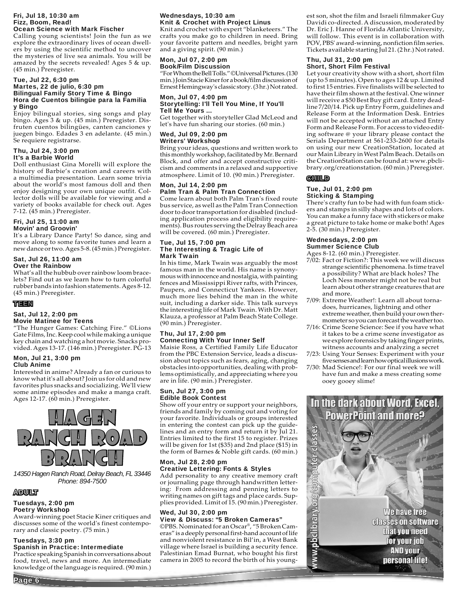#### Fri, Jul 18, 10:30 am Fizz, Boom, Read! Ocean Science with Mark Fischer

Calling young scientists! Join the fun as we explore the extraordinary lives of ocean dwellers by using the scientific method to uncover the mysteries of live sea animals. You will be amazed by the secrets revealed! Ages 5 & up. (45 min.) Preregister.

#### Tue, Jul 22, 6:30 pm Martes, 22 de julio, 6:30 pm Bilingual Family Story Time & Bingo Hora de Cuentos bilingüe para la Familia y Bingo

Enjoy bilingual stories, sing songs and play bingo. Ages 3 & up. (45 min.) Preregister. Disfruten cuentos bilingües, canten canciones y juegen bingo. Edades 3 en adelante. (45 min.) Se requiere registrarse.

#### Thu, Jul 24, 3:00 pm It's a Barbie World

Doll enthusiast Gina Morelli will explore the history of Barbie's creation and careers with a multimedia presentation. Learn some trivia about the world's most famous doll and then enjoy designing your own unique outfit. Collector dolls will be available for viewing and a variety of books available for check out. Ages 7-12. (45 min.) Preregister.

#### Fri, Jul 25, 11:00 am Movin' and Groovin'

It's a Library Dance Party! So dance, sing and move along to some favorite tunes and learn a new dance or two. Ages 5-8. (45 min.) Preregister.

## Sat, Jul 26, 11:00 am

### Over the Rainbow

What's all the hubbub over rainbow loom bracelets? Find out as we learn how to turn colorful rubber bands into fashion statements. Ages 8-12. (45 min.) Preregister.

#### TEEN

#### Sat, Jul 12, 2:00 pm Movie Matinee for Teens

"The Hunger Games: Catching Fire." ©Lions Gate Films, Inc. Keep cool while making a unique key chain and watching a hot movie. Snacks provided. Ages 13-17. (146 min.) Preregister. PG-13

#### Mon, Jul 21, 3:00 pm Club Anime

Interested in anime? Already a fan or curious to know what it's all about? Join us for old and new favorites plus snacks and socializing. We'll view some anime episodes and make a manga craft. Ages 12-17. (60 min.) Preregister.



*14350 Hagen Ranch Road, Delray Beach, FL 33446 Phone: 894-7500*

### ADULT

Page 6

#### Tuesdays, 2:00 pm Poetry Workshop

Award-winning poet Stacie Kiner critiques and discusses some of the world's finest contemporary and classic poetry. (75 min.)

#### Tuesdays, 3:30 pm Spanish in Practice: Intermediate

Practice speaking Spanish in conversations about food, travel, news and more. An intermediate knowledge of the language is required. (90 min.)

#### Wednesdays, 10:30 am Knit & Crochet with Project Linus

Knit and crochet with expert "blanketeers." The crafts you make go to children in need. Bring your favorite pattern and needles, bright yarn and a giving spirit. (90 min.)

#### Mon, Jul 07, 2:00 pm Book/Film Discussion

"For Whom the Bell Tolls." ©Universal Pictures. (130 min.) Join Stacie Kiner for a book/film discussion of Ernest Hemingway's classic story. (3 hr.) Not rated.

#### Mon, Jul 07, 4:00 pm Storytelling: I'll Tell You Mine, If You'll Tell Me Yours ...

Get together with storyteller Glad McLeod and let's have fun sharing our stories. (60 min.)

### Wed, Jul 09, 2:00 pm Writers' Workshop

Bring your ideas, questions and written work to this monthly workshop, facilitated by Mr. Bernard Block, and offer and accept constructive criticism and comments in a relaxed and supportive atmosphere. Limit of 10. (90 min.) Preregister.

### Mon, Jul 14, 2:00 pm Palm Tran & Palm Tran Connection

Come learn about both Palm Tran's fixed route bus service, as well as the Palm Tran Connection door to door transportation for disabled (including application process and eligibility requirements). Bus routes serving the Delray Beach area will be covered. (60 min.) Preregister.

#### Tue, Jul 15, 7:00 pm The Interesting & Tragic Life of Mark Twain

In his time, Mark Twain was arguably the most famous man in the world. His name is synonymous with innocence and nostalgia, with painting fences and Mississippi River rafts, with Princes, Paupers, and Connecticut Yankees. However, much more lies behind the man in the white suit, including a darker side. This talk surveys the interesting life of Mark Twain. With Dr. Matt Klauza, a professor at Palm Beach State College. (90 min.) Preregister.

### Thu, Jul 17, 2:00 pm Connecting With Your Inner Self

Maisie Ross, a Certified Family Life Educator from the PBC Extension Service, leads a discussion about topics such as fears, aging, changing obstacles into opportunities, dealing with problems optimistically, and appreciating where you are in life. (90 min.) Preregister.

#### Sun, Jul 27, 3:00 pm Edible Book Contest

Show off your entry or support your neighbors, friends and family by coming out and voting for your favorite. Individuals or groups interested in entering the contest can pick up the guidelines and an entry form and return it by Jul 21. Entries limited to the first 15 to register. Prizes will be given for 1st (\$35) and 2nd place (\$15) in the form of Barnes & Noble gift cards. (60 min.)

#### Mon, Jul 28, 2:00 pm Creative Lettering: Fonts & Styles

Add personality to any creative memory craft or journaling page through handwritten lettering: From addressing and penning letters to writing names on gift tags and place cards. Supplies provided. Limit of 15. (90 min.) Preregister.

#### Wed, Jul 30, 2:00 pm View & Discuss: "5 Broken Cameras"

©PBS. Nominated for an Oscar®, "5 Broken Cameras" is a deeply personal first-hand account of life and nonviolent resistance in Bil'in, a West Bank village where Israel is building a security fence. Palestinian Emad Burnat, who bought his first camera in 2005 to record the birth of his youngest son, shot the film and Israeli filmmaker Guy Davidi co-directed. A discussion, moderated by Dr. Eric J. Hanne of Florida Atlantic University, will follow. This event is in collaboration with POV, PBS' award-winning, nonfiction film series. Tickets available starting Jul 21. (2 hr.) Not rated.

#### Thu, Jul 31, 2:00 pm Short, Short Film Festival

Let your creativity show with a short, short film (up to 5 minutes). Open to ages 12 & up. Limited to first 15 entries. Five finalists will be selected to have their film shown at the festival. One winner will receive a \$50 Best Buy gift card. Entry deadline 7/20/14. Pick up Entry Form, guidelines and Release Form at the Information Desk. Entries will not be accepted without an attached Entry Form and Release Form. For access to video editing software @ your library please contact the Serials Department at 561-233-2600 for details on using our new CreationStation, located at our Main Library in West Palm Beach. Details on the CreationStation can be found at: www.pbclibrary.org/creationstation. (60 min.) Preregister.

### **GHILD**

ello Ta

a de la companya de la companya de la companya de la companya de la companya de la companya de la companya de<br>La companya de la companya de la companya de la companya de la companya de la companya de la companya de la co

#### Tue, Jul 01, 2:00 pm Sticking & Stamping

There's crafty fun to be had with fun foam stickers and stamps in silly shapes and lots of colors. You can make a funny face with stickers or make a great picture to take home or make both! Ages 2-5. (30 min.) Preregister.

#### Wednesdays, 2:00 pm Summer Science Club

Ages 8-12. (60 min.) Preregister.

- 7/02: Fact or Fiction?: This week we will discuss strange scientific phenomena. Is time travel a possibility? What are black holes? The Loch Ness monster might not be real but learn about other strange creatures that are and more.
- 7/09: Extreme Weather!: Learn all about torna does, hurricanes, lightning and other extreme weather, then build your own ther mometer so you can forecast the weather too.
- 7/16: Crime Scene Science: See if you have what it takes to be a crime scene investigator as we explore forensics by taking finger prints, witness accounts and analyzing a secret
- 7/23: Using Your Senses: Experiment with your five senses and learn how optical illusions work.
- 7/30: Mad Science!: For our final week we will have fun and make a mess creating some ooey gooey slime!



We have free **Classes on software** that you need for your job **AND your** personal life!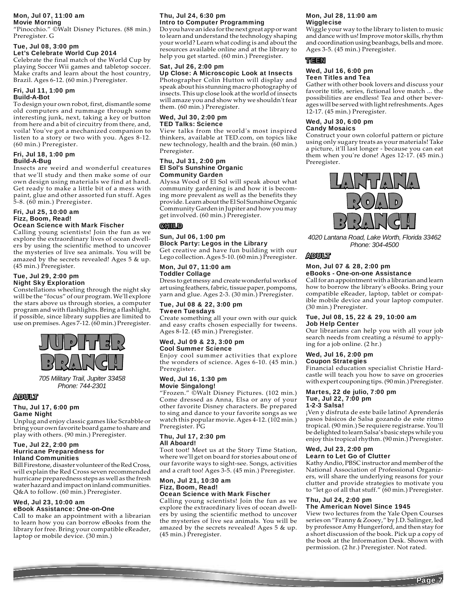### Mon, Jul 07, 11:00 am

### Movie Morning

"Pinocchio." ©Walt Disney Pictures. (88 min.) Preregister. G

#### Tue, Jul 08, 3:00 pm Let's Celebrate World Cup 2014

Celebrate the final match of the World Cup by playing Soccer Wii games and tabletop soccer. Make crafts and learn about the host country, Brazil. Ages 6-12. (60 min.) Preregister.

#### Fri, Jul 11, 1:00 pm Build-A-Bot

To design your own robot, first, dismantle some old computers and rummage through some interesting junk, next, taking a key or button from here and a bit of circuitry from there, and, voila! You've got a mechanized companion to listen to a story or two with you. Ages 8-12. (60 min.) Preregister.

#### Fri, Jul 18, 1:00 pm Build-A-Bug

Insects are weird and wonderful creatures that we'll study and then make some of our own design using materials we find at hand. Get ready to make a little bit of a mess with paint, glue and other assorted fun stuff. Ages 5-8. (60 min.) Preregister.

#### Fri, Jul 25, 10:00 am Fizz, Boom, Read! Ocean Science with Mark Fischer

Calling young scientists! Join the fun as we explore the extraordinary lives of ocean dwellers by using the scientific method to uncover the mysteries of live sea animals. You will be amazed by the secrets revealed! Ages 5 & up. (45 min.) Preregister.

#### Tue, Jul 29, 2:00 pm Night Sky Exploration

Constellations wheeling through the night sky will be the "focus" of our program. We'll explore the stars above us through stories, a computer program and with flashlights. Bring a flashlight, if possible, since library supplies are limited to use on premises. Ages 7-12. (60 min.) Preregister.



*705 Military Trail, Jupiter 33458 Phone: 744-2301*

#### ADULT

#### Thu, Jul 17, 6:00 pm Game Night

Unplug and enjoy classic games like Scrabble or bring your own favorite board game to share and play with others. (90 min.) Preregister.

#### Tue, Jul 22, 2:00 pm Hurricane Preparedness for Inland Communities

Bill Firestone, disaster volunteer of the Red Cross, will explain the Red Cross seven recommended hurricane preparedness steps as well as the fresh water hazard and impact on inland communities. Q&A to follow. (60 min.) Preregister.

### Wed, Jul 23, 10:00 am eBook Assistance: One-on-One

Call to make an appointment with a librarian to learn how you can borrow eBooks from the library for free. Bring your compatible eReader, laptop or mobile device. (30 min.)

#### Thu, Jul 24, 6:30 pm Intro to Computer Programming

Do you have an idea for the next great app or want to learn and understand the technology shaping your world? Learn what coding is and about the resources available online and at the library to help you get started. (60 min.) Preregister.

### Sat, Jul 26, 2:00 pm

Up Close: A Microscopic Look at Insects

Photographer Colin Hutton will display and speak about his stunning macro photography of insects. This up close look at the world of insects will amaze you and show why we shouldn't fear them. (60 min.) Preregister.

#### Wed, Jul 30, 2:00 pm TED Talks: Science

View talks from the world's most inspired thinkers, available at TED.com, on topics like new technology, health and the brain. (60 min.) Preregister.

#### Thu, Jul 31, 2:00 pm El Sol's Sunshine Organic Community Garden

Alyssa Wood of El Sol will speak about what community gardening is and how it is becoming more prevalent as well as the benefits they provide. Learn about the El Sol Sunshine Organic Community Garden in Jupiter and how you may get involved. (60 min.) Preregister.

### CHILD

### Sun, Jul 06, 1:00 pm

Block Party: Legos in the Library Get creative and have fun building with our Lego collection. Ages 5-10. (60 min.) Preregister.

#### Mon, Jul 07, 11:00 am Toddler Collage

Dress to get messy and create wonderful works of art using feathers, fabric, tissue paper, pompoms, yarn and glue. Ages 2-3. (30 min.) Preregister.

#### Tue, Jul 08 & 22, 3:00 pm Tween Tuesdays

Create something all your own with our quick and easy crafts chosen especially for tweens. Ages 8-12. (45 min.) Preregister.

### Wed, Jul 09 & 23, 3:00 pm Cool Summer Science

Enjoy cool summer activities that explore the wonders of science. Ages 6-10. (45 min.) Preregister.

#### Wed, Jul 16, 1:30 pm Movie Singalong!

"Frozen." ©Walt Disney Pictures. (102 min.) Come dressed as Anna, Elsa or any of your other favorite Disney characters. Be prepared to sing and dance to your favorite songs as we watch this popular movie. Ages 4-12. (102 min.) Preregister. PG

#### Thu, Jul 17, 2:30 pm All Aboard!

Toot toot! Meet us at the Story Time Station, where we'll get on board for stories about one of our favorite ways to sight-see. Songs, activities and a craft too! Ages 3-5. (45 min.) Preregister.

#### Mon, Jul 21, 10:30 am Fizz, Boom, Read! Ocean Science with Mark Fischer

Calling young scientists! Join the fun as we explore the extraordinary lives of ocean dwellers by using the scientific method to uncover the mysteries of live sea animals. You will be amazed by the secrets revealed! Ages 5 & up. (45 min.) Preregister.

### Mon, Jul 28, 11:00 am Wigglecise

Wiggle your way to the library to listen to music and dance with us! Improve motor skills, rhythm and coordination using beanbags, bells and more. Ages 3-5. (45 min.) Preregister.

### TEEN

#### Wed, Jul 16, 6:00 pm Teen Titles and Tea

Gather with other book lovers and discuss your favorite title, series, fictional love match ... the possibilities are endless! Tea and other beverages will be served with light refreshments. Ages 12-17. (45 min.) Preregister.

#### Wed, Jul 30, 6:00 pm Candy Mosaics

Construct your own colorful pattern or picture using only sugary treats as your materials! Take a picture, it'll last longer - because you can eat them when you're done! Ages 12-17. (45 min.) Preregister.



*4020 Lantana Road, Lake Worth, Florida 33462 Phone: 304-4500*

### ADULT

#### Mon, Jul 07 & 28, 2:00 pm eBooks - One-on-one Assistance

Call for an appointment with a librarian and learn how to borrow the library's eBooks. Bring your compatible eReader, laptop, tablet or compatible mobile device and your laptop computer. (30 min.) Preregister.

### Tue, Jul 08, 15, 22 & 29, 10:00 am

#### Job Help Center

Our librarians can help you with all your job search needs from creating a résumé to applying for a job online. (2 hr.)

#### Wed, Jul 16, 2:00 pm Coupon Strategies

Financial education specialist Christie Hardcastle will teach you how to save on groceries with expert couponing tips. (90 min.) Preregister.

#### Martes, 22 de julio, 7:00 pm Tue, Jul 22, 7:00 pm

#### 1-2-3 Salsa!

¡Ven y disfruta de este baile latino! Aprenderás pasos básicos de Salsa gozando de este ritmo tropical. (90 min.) Se requiere registrarse. You'll be delighted to learn Salsa's basic steps while you enjoy this tropical rhythm. (90 min.) Preregister.

#### Wed, Jul 23, 2:00 pm Learn to Let Go of Clutter

Kathy Andio, PBSC instructor and member of the National Association of Professional Organizers, will share the underlying reasons for your clutter and provide strategies to motivate you to "let go of all that stuff." (60 min.) Preregister.

#### Thu, Jul 24, 2:00 pm The American Novel Since 1945

View two lectures from the Yale Open Courses series on "Franny & Zooey," by J.D. Salinger, led by professor Amy Hungerford, and then stay for a short discussion of the book. Pick up a copy of the book at the Information Desk. Shown with permission. (2 hr.) Preregister. Not rated.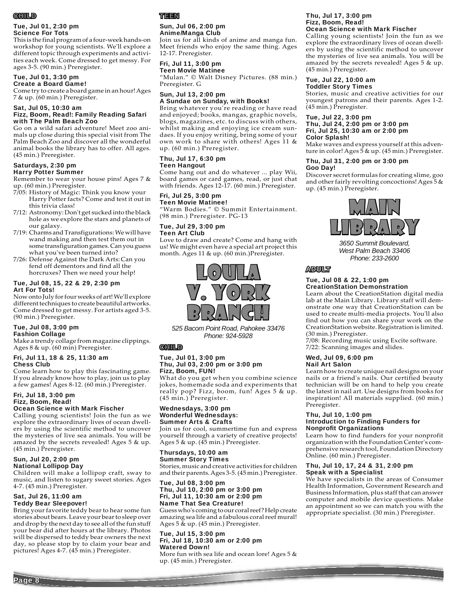### **CHILD**

#### Tue, Jul 01, 2:30 pm Science For Tots

This is the final program of a four-week hands-on workshop for young scientists. We'll explore a different topic through experiments and activities each week. Come dressed to get messy. For ages 3-5. (90 min.) Preregister.

#### Tue, Jul 01, 3:30 pm Create a Board Game!

Come try to create a board game in an hour! Ages 7 & up. (60 min.) Preregister.

Sat, Jul 05, 10:30 am Fizz, Boom, Read!: Family Reading Safari with The Palm Beach Zoo

Go on a wild safari adventure! Meet zoo animals up close during this special visit from The Palm Beach Zoo and discover all the wonderful animal books the library has to offer. All ages. (45 min.) Preregister.

#### Saturdays, 2:30 pm Harry Potter Summer

Remember to wear your house pins! Ages 7 & up. (60 min.) Preregister.

7/05: History of Magic: Think you know your Harry Potter facts? Come and test it out in this trivia class!

- 7/12: Astronomy: Don't get sucked into the black hole as we explore the stars and planets of our galaxy.
- 7/19: Charms and Transfigurations: We will have wand making and then test them out in some transfiguration games. Can you guess what you've been turned into?
- 7/26: Defense Against the Dark Arts: Can you fend off dementors and find all the horcruxes? Then we need your help!

#### Tue, Jul 08, 15, 22 & 29, 2:30 pm Art For Tots!

Now onto July for four weeks of art! We'll explore different techniques to create beautiful artworks. Come dressed to get messy. For artists aged 3-5. (90 min.) Preregister.

#### Tue, Jul 08, 3:00 pm Fashion Collage

Make a trendy collage from magazine clippings. Ages 8 & up. (60 min) Preregister.

#### Fri, Jul 11, 18 & 25, 11:30 am Chess Club

Come learn how to play this fascinating game. If you already know how to play, join us to play a few games! Ages 8-12. (60 min.) Preregister.

#### Fri, Jul 18, 3:00 pm Fizz, Boom, Read! Ocean Science with Mark Fischer

Calling young scientists! Join the fun as we explore the extraordinary lives of ocean dwellers by using the scientific method to uncover the mysteries of live sea animals. You will be amazed by the secrets revealed! Ages 5 & up. (45 min.) Preregister.

## Sun, Jul 20, 2:00 pm

National Lollipop Day

Children will make a lollipop craft, sway to music, and listen to sugary sweet stories. Ages 4-7. (45 min.) Preregister.

#### Sat, Jul 26, 11:00 am Teddy Bear Sleepover!

Page 8

Bring your favorite teddy bear to hear some fun stories about bears. Leave your bear to sleep over and drop by the next day to see all of the fun stuff your bear did after hours at the library. Photos will be dispersed to teddy bear owners the next day, so please stop by to claim your bear and pictures! Ages 4-7. (45 min.) Preregister.

### TEEN

### Sun, Jul 06, 2:00 pm Anime/Manga Club

Join us for all kinds of anime and manga fun. Meet friends who enjoy the same thing. Ages 12-17. Preregister.

### Fri, Jul 11, 3:00 pm

Teen Movie Matinee "Mulan." © Walt Disney Pictures. (88 min.) Preregister. G

### Sun, Jul 13, 2:00 pm

A Sundae on Sunday, with Books! Bring whatever you're reading or have read and enjoyed; books, mangas, graphic novels, blogs, magazines, etc. to discuss with others, whilst making and enjoying ice cream sundaes. If you enjoy writing, bring some of your own work to share with others! Ages 11 & up. (60 min.) Preregister.

#### Thu, Jul 17, 6:30 pm Teen Hangout

Come hang out and do whatever ... play Wii, board games or card games, read, or just chat with friends. Ages 12-17. (60 min.) Preregister.

### Fri, Jul 25, 3:00 pm Teen Movie Matinee!

"Warm Bodies." © Summit Entertainment. (98 min.) Preregister. PG-13

#### Tue, Jul 29, 3:00 pm Teen Art Club

Love to draw and create? Come and hang with us! We might even have a special art project this month. Ages 11 & up. (60 min.)Preregister.



*525 Bacom Point Road, Pahokee 33476 Phone: 924-5928*

### CHILD

#### Tue, Jul 01, 3:00 pm Thu, Jul 03, 2:00 pm or 3:00 pm Fizz, Boom, FUN!

What do you get when you combine science jokes, homemade soda and experiments that really pop? Fizz, boom, fun! Ages 5 & up. (45 min.) Preregister.

#### Wednesdays, 3:00 pm Wonderful Wednesdays: Summer Arts & Crafts

Join us for cool, summertime fun and express yourself through a variety of creative projects! Ages 5 & up. (45 min.) Preregister.

### Thursdays, 10:00 am

Summer Story Times Stories, music and creative activities for children and their parents. Ages 3-5. (45 min.) Preregister.

#### Tue, Jul 08, 3:00 pm Thu, Jul 10, 2:00 pm or 3:00 pm Fri, Jul 11, 10:30 am or 2:00 pm Name That Sea Creature!

Guess who's coming to our coral reef? Help create amazing sea life and a fabulous coral reef mural! Ages  $5 \&$  up. (45 min.) Preregister.

### Tue, Jul 15, 3:00 pm Fri, Jul 18, 10:30 am or 2:00 pm Watered Down!

More fun with sea life and ocean lore! Ages 5 & up. (45 min.) Preregister.

#### Thu, Jul 17, 3:00 pm Fizz, Boom, Read! Ocean Science with Mark Fischer

Calling young scientists! Join the fun as we explore the extraordinary lives of ocean dwellers by using the scientific method to uncover the mysteries of live sea animals. You will be amazed by the secrets revealed! Ages 5 & up. (45 min.) Preregister.

#### Tue, Jul 22, 10:00 am Toddler Story Times

Stories, music and creative activities for our youngest patrons and their parents. Ages 1-2. (45 min.) Preregister.

#### Tue, Jul 22, 3:00 pm Thu, Jul 24, 2:00 pm or 3:00 pm Fri, Jul 25, 10:30 am or 2:00 pm Color Splash!

Make waves and express yourself at this adventure in color! Ages 5 & up. (45 min.) Preregister.

#### Thu, Jul 31, 2:00 pm or 3:00 pm Goo Day!

Discover secret formulas for creating slime, goo and other fairly revolting concoctions! Ages 5 & up. (45 min.) Preregister.



*3650 Summit Boulevard, West Palm Beach 33406 Phone: 233-2600*

### ADULT

#### Tue, Jul 08 & 22, 1:00 pm CreationStation Demonstration

Learn about the CreationStation digital media lab at the Main Library. Library staff will demonstrate one way that CreationStation can be used to create multi-media projects. You'll also find out how you can share your work on the CreationStation website. Registration is limited. (30 min.) Preregister.

7/08: Recording music using Excite software. 7/22: Scanning images and slides.

#### Wed, Jul 09, 6:00 pm Nail Art Salon

Learn how to create unique nail designs on your nails or a friend's nails. Our certified beauty technician will be on hand to help you create the latest in nail art. Use designs from books for inspiration! All materials supplied. (60 min.) Preregister.

#### Thu, Jul 10, 1:00 pm Introduction to Finding Funders for Nonprofit Organizations

Learn how to find funders for your nonprofit organization with the Foundation Center's comprehensive research tool, Foundation Directory Online. (60 min.) Preregister.

#### Thu, Jul 10, 17, 24 & 31, 2:00 pm Speak with a Specialist

We have specialists in the areas of Consumer Health Information, Government Research and Business Information, plus staff that can answer computer and mobile device questions. Make an appointment so we can match you with the appropriate specialist. (30 min.) Preregister.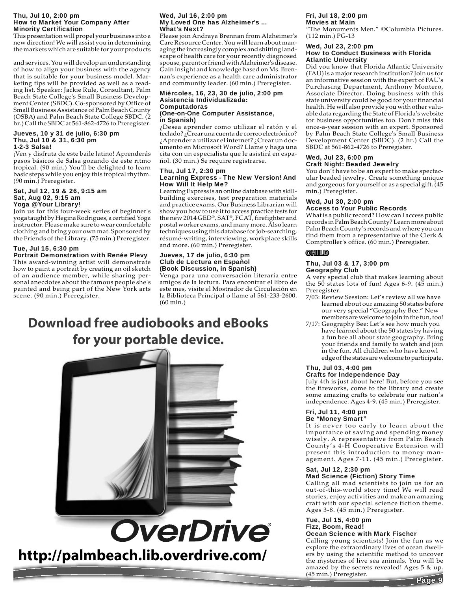#### Thu, Jul 10, 2:00 pm How to Market Your Company After **Minority Certification**

This presentation will propel your business into a new direction! We will assist you in determining the markets which are suitable for your products

and services. You will develop an understanding of how to align your business with the agency that is suitable for your business model. Marketing tips will be provided as well as a reading list. Speaker: Jackie Rule, Consultant, Palm Beach State College's Small Business Development Center (SBDC). Co-sponsored by Office of Small Business Assistance of Palm Beach County (OSBA) and Palm Beach State College SBDC. (2 hr.) Call the SBDC at 561-862-4726 to Preregister.

#### Jueves, 10 y 31 de julio, 6:30 pm Thu, Jul 10 & 31, 6:30 pm 1-2-3 Salsa!

¡Ven y disfruta de este baile latino! Aprenderás pasos básicos de Salsa gozando de este ritmo tropical. (90 min.) You'll be delighted to learn basic steps while you enjoy this tropical rhythm. (90 min.) Preregister.

#### Sat, Jul 12, 19 & 26, 9:15 am Sat, Aug 02, 9:15 am Yoga @ Your Library!

Join us for this four-week series of beginner's yoga taught by Hegina Rodrigues, a certified Yoga instructor. Please make sure to wear comfortable clothing and bring your own mat. Sponsored by the Friends of the Library. (75 min.) Preregister.

### Tue, Jul 15, 6:30 pm

Portrait Demonstration with Renée Plevy This award-winning artist will demonstrate how to paint a portrait by creating an oil sketch of an audience member, while sharing personal anecdotes about the famous people she's painted and being part of the New York arts scene. (90 min.) Preregister.

#### Wed, Jul 16, 2:00 pm My Loved One has Alzheimer's ... What's Next?

Please join Andraya Brennan from Alzheimer's Care Resource Center. You will learn about managing the increasingly complex and shifting landscape of health care for your recently diagnosed spouse, parent or friend with Alzheimer's disease. Gain insight and knowledge based on Ms. Brennan's experience as a health care administrator and community leader. (60 min.) Preregister.

### Miércoles, 16, 23, 30 de julio, 2:00 pm Asistencia Individualizada: Computadoras

#### (One-on-One Computer Assistance, in Spanish)

¿Desea aprender como utilizar el ratón y el teclado? ¿Crear una cuenta de correo electrónico? ¿Aprender a utilizar el internet? ¿Crear un documento en Microsoft Word? Llame y haga una cita con un especialista que le asistirá en español. (30 min.) Se require registrarse.

#### Thu, Jul 17, 2:30 pm Learning Express - The New Version! And How Will It Help Me?

Learning Express is an online database with skillbuilding exercises, test preparation materials and practice exams. Our Business Librarian will show you how to use it to access practice tests for the new 2014 GED®, SAT®, FCAT, firefighter and postal worker exams, and many more. Also learn techniques using this database for job-searching, résumé-writing, interviewing, workplace skills and more. (60 min.) Preregister.

#### Jueves, 17 de julio, 6:30 pm Club de Lectura en Español (Book Discussion, in Spanish)

Venga para una conversación literaria entre amigos de la lectura. Para encontrar el libro de este mes, visite el Mostrador de Circulación en la Biblioteca Principal o llame al 561-233-2600. (60 min.)

# **Download free audiobooks and eBooks for your portable device.**



**http://palmbeach.lib.overdrive.com/**

#### Fri, Jul 18, 2:00 pm Movies at Main

"The Monuments Men." ©Columbia Pictures. (112 min.) PG-13

### Wed, Jul 23, 2:00 pm

#### How to Conduct Business with Florida Atlantic University

Did you know that Florida Atlantic University (FAU) is a major research institution? Join us for an informative session with the expert of FAU's Purchasing Department, Anthony Montero, Associate Director. Doing business with this state university could be good for your financial health. He will also provide you with other valuable data regarding the State of Florida's website for business opportunities too. Don't miss this once-a-year session with an expert. Sponsored by Palm Beach State College's Small Business Development Center (SBDC). (2 hr.) Call the SBDC at 561-862-4726 to Preregister.

#### Wed, Jul 23, 6:00 pm Craft Night: Beaded Jewelry

You don't have to be an expert to make spectacular beaded jewelry. Create something unique and gorgeous for yourself or as a special gift. (45 min.) Preregister.

#### Wed, Jul 30, 2:00 pm Access to Your Public Records

What is a public record? How can I access public records in Palm Beach County? Learn more about Palm Beach County's records and where you can find them from a representative of the Clerk & Comptroller's office. (60 min.) Preregister.

### CHILD

#### Thu, Jul 03 & 17, 3:00 pm Geography Club

A very special club that makes learning about the  $50$  states lots of fun! Ages 6-9.  $(45 \text{ min.})$ Preregister.

- 7/03: Review Session: Let's review all we have learned about our amazing 50 states before our very special "Geography Bee." New members are welcome to join in the fun, too!
- 7/17: Geography Bee: Let's see how much you have learned about the 50 states by having a fun bee all about state geography. Bring your friends and family to watch and join in the fun. All children who have knowl edge of the states are welcome to participate.

#### Thu, Jul 03, 4:00 pm Crafts for Independence Day

July 4th is just about here! But, before you see the fireworks, come to the library and create some amazing crafts to celebrate our nation's independence. Ages 4-9. (45 min.) Preregister.

#### Fri, Jul 11, 4:00 pm Be "Money Smart"

It is never too early to learn about the importance of saving and spending money wisely. A representative from Palm Beach County's 4-H Cooperative Extension will present this introduction to money management. Ages 7-11. (45 min.) Preregister.

#### Sat, Jul 12, 2:30 pm Mad Science (Fiction) Story Time

Calling all mad scientists to join us for an out-of-this-world story time! We will read stories, enjoy activities and make an amazing craft with our special science fiction theme. Ages 3-8. (45 min.) Preregister.

#### Tue, Jul 15, 4:00 pm Fizz, Boom, Read! Ocean Science with Mark Fischer

Page-9 Calling young scientists! Join the fun as we explore the extraordinary lives of ocean dwellers by using the scientific method to uncover the mysteries of live sea animals. You will be amazed by the secrets revealed! Ages 5 & up. (45 min.) Preregister.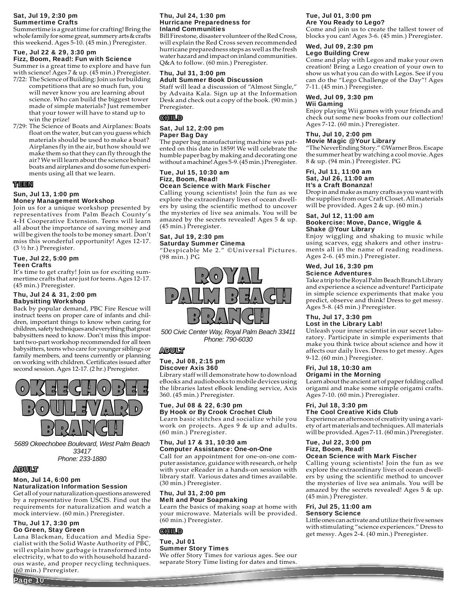#### Sat, Jul 19, 2:30 pm Summertime Crafts

Summertime is a great time for crafting! Bring the whole family for some great, summery arts & crafts this weekend. Ages 5-10. (45 min.) Preregister.

### Tue, Jul 22 & 29, 3:30 pm Fizz, Boom, Read!: Fun with Science

Summer is a great time to explore and have fun with science! Ages 7 & up. (45 min.) Preregister.

- 7/22: The Science of Building: Join us for building competitions that are so much fun, you will never know you are learning about
- science. Who can build the biggest tower made of simple materials? Just remember that your tower will have to stand up to win the prize!
- 7/29: The Science of Boats and Airplanes: Boats float on the water, but can you guess which materials should be used to make a boat? Airplanes fly in the air, but how should we make them so that they can fly through the air? We will learn about the science behind boats and airplanes and do some fun experi ments using all that we learn.

### TEEN

### Sun, Jul 13, 1:00 pm

### Money Management Workshop

Join us for a unique workshop presented by representatives from Palm Beach County's 4-H Cooperative Extension. Teens will learn all about the importance of saving money and will be given the tools to be money smart. Don't miss this wonderful opportunity! Ages 12-17. (3 ½ hr.) Preregister.

#### Tue, Jul 22, 5:00 pm Teen Crafts

It's time to get crafty! Join us for exciting summertime crafts that are just for teens. Ages 12-17. (45 min.) Preregister.

#### Thu, Jul 24 & 31, 2:00 pm Babysitting Workshop

Back by popular demand, PBC Fire Rescue will instruct teens on proper care of infants and children, important things to know when caring for children, safety techniques and everything that great babysitters need to know. Don't miss this important two-part workshop recommended for all teen babysitters, teens who care for younger siblings or family members, and teens currently or planning on working with children. Certificates issued after second session. Ages 12-17. (2 hr.) Preregister.



*5689 Okeechobee Boulevard, West Palm Beach 33417 Phone: 233-1880*

### ADULT

Page 10

#### Mon, Jul 14, 6:00 pm Naturalization Information Session

Get all of your naturalization questions answered by a representative from USCIS. Find out the requirements for naturalization and watch a mock interview. (60 min.) Preregister.

#### Thu, Jul 17, 3:30 pm Go Green, Stay Green

Lana Blackman, Education and Media Specialist with the Solid Waste Authority of PBC, will explain how garbage is transformed into electricity, what to do with household hazardous waste, and proper recycling techniques. (60 min.) Preregister.

#### Thu, Jul 24, 1:30 pm Hurricane Preparedness for Inland Communities

Bill Firestone, disaster volunteer of the Red Cross, will explain the Red Cross seven recommended hurricane preparedness steps as well as the fresh water hazard and impact on inland communities. Q&A to follow. (60 min.) Preregister.

#### Thu, Jul 31, 3:00 pm Adult Summer Book Discussion

Staff will lead a discussion of "Almost Single," by Advaita Kala. Sign up at the Information Desk and check out a copy of the book. (90 min.) Preregister.

### **GHTLI**D

#### Sat, Jul 12, 2:00 pm Paper Bag Day

The paper bag manufacturing machine was patented on this date in 1859! We will celebrate the humble paper bag by making and decorating one without a machine! Ages 5-9. (45 min.) Preregister.

#### Tue, Jul 15, 10:30 am Fizz, Boom, Read! Ocean Science with Mark Fischer

Calling young scientists! Join the fun as we explore the extraordinary lives of ocean dwellers by using the scientific method to uncover the mysteries of live sea animals. You will be amazed by the secrets revealed! Ages 5 & up. (45 min.) Preregister.

#### Sat, Jul 19, 2:30 pm Saturday Summer Cinema

"Despicable Me 2." ©Universal Pictures. (98 min.) PG



*500 Civic Center Way, Royal Palm Beach 33411 Phone: 790-6030*

### ADULT

### Tue, Jul 08, 2:15 pm Discover Axis 360

Library staff will demonstrate how to download eBooks and audiobooks to mobile devices using the libraries latest eBook lending service, Axis 360. (45 min.) Preregister.

#### Tue, Jul 08 & 22, 6:30 pm By Hook or By Crook Crochet Club

Learn basic stitches and socialize while you work on projects. Ages 9 & up and adults. (60 min.) Preregister.

#### Thu, Jul 17 & 31, 10:30 am Computer Assistance: One-on-One

Call for an appointment for one-on-one computer assistance, guidance with research, or help with your eReader in a hands-on session with library staff. Various dates and times available. (30 min.) Preregister.

#### Thu, Jul 31, 2:00 pm Melt and Pour Soapmaking

Learn the basics of making soap at home with your microwave. Materials will be provided. (60 min.) Preregister.

### **GHILD**

Tue, Jul 01 Summer Story Times

### We offer Story Times for various ages. See our separate Story Time listing for dates and times.

#### Tue, Jul 01, 3:00 pm Are You Ready to Lego?

Come and join us to create the tallest tower of blocks you can! Ages 3-6. (45 min.) Preregister.

## Wed, Jul 09, 2:30 pm

Lego Building Crew

Come and play with Legos and make your own creation! Bring a Lego creation of your own to show us what you can do with Legos. See if you can do the "Lego Challenge of the Day"! Ages 7-11. (45 min.) Preregister.

### Wed, Jul 09, 3:30 pm

Wii Gaming Enjoy playing Wii games with your friends and

check out some new books from our collection! Ages 7-12. (60 min.) Preregister.

#### Thu, Jul 10, 2:00 pm Movie Magic @ Your Library

"The NeverEnding Story." ©Warner Bros. Escape the summer heat by watching a cool movie. Ages 8 & up. (94 min.) Preregister. PG

#### Fri, Jul 11, 11:00 am Sat, Jul 26, 11:00 am It's a Craft Bonanza!

Drop in and make as many crafts as you want with the supplies from our Craft Closet. All materials will be provided. Ages 2 & up. (60 min.)

#### Sat, Jul 12, 11:00 am Bookercise: Move, Dance, Wiggle & Shake @ Your Library

Enjoy wiggling and shaking to music while using scarves, egg shakers and other instruments all in the name of reading readiness. Ages 2-6. (45 min.) Preregister.

#### Wed, Jul 16, 3:30 pm Science Adventures

Take a trip to the Royal Palm Beach Branch Library and experience a science adventure! Participate in simple science experiments that make you predict, observe and think! Dress to get messy. Ages 5-8. (45 min.) Preregister.

#### Thu, Jul 17, 3:30 pm Lost in the Library Lab!

Unleash your inner scientist in our secret laboratory. Participate in simple experiments that make you think twice about science and how it affects our daily lives. Dress to get messy. Ages 9-12. (60 min.) Preregister.

### Fri, Jul 18, 10:30 am

Origami in the Morning

Learn about the ancient art of paper folding called origami and make some simple origami crafts. Ages 7-10. (60 min.) Preregister.

#### Fri, Jul 18, 3:30 pm The Cool Creative Kids Club

Experience an afternoon of creativity using a variety of art materials and techniques. All materials will be provided. Ages 7-11. (60 min.) Preregister.

#### Tue, Jul 22, 3:00 pm Fizz, Boom, Read! Ocean Science with Mark Fischer

Calling young scientists! Join the fun as we explore the extraordinary lives of ocean dwellers by using the scientific method to uncover

the mysteries of live sea animals. You will be

amazed by the secrets revealed! Ages 5 & up. (45 min.) Preregister. Fri, Jul 25, 11:00 am

## Sensory Science

Little ones can activate and utilize their five senses with stimulating "science experiences." Dress to get messy. Ages 2-4. (40 min.) Preregister.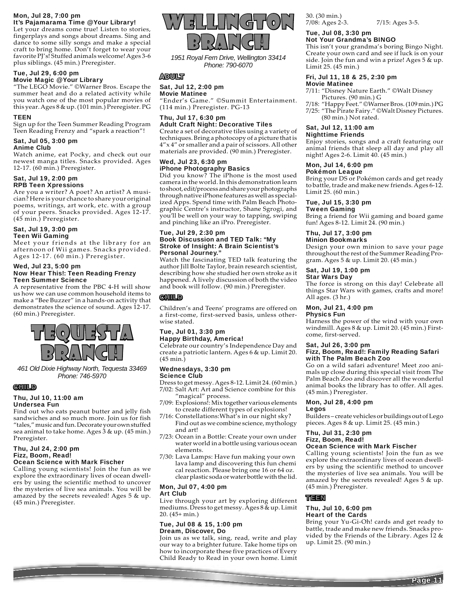#### Mon, Jul 28, 7:00 pm It's Pajamarama Time @ Your Library!

Let your dreams come true! Listen to stories, fingerplays and songs about dreams. Sing and dance to some silly songs and make a special craft to bring home. Don't forget to wear your favorite PJ's! Stuffed animals welcome! Ages 3-6 plus siblings. (45 min.) Preregister.

### Tue, Jul 29, 6:00 pm Movie Magic @ Your Library

"The LEGO Movie." ©Warner Bros. Escape the summer heat and do a related activity while you watch one of the most popular movies of this year. Ages 8 & up. (101 min.) Preregister. PG

#### **TFFN**

Sign up for the Teen Summer Reading Program Teen Reading Frenzy and "spark a reaction"!

#### Sat, Jul 05, 3:00 pm Anime Club

Watch anime, eat Pocky, and check out our newest manga titles. Snacks provided. Ages 12-17. (60 min.) Preregister.

#### Sat, Jul 19, 2:00 pm RPB Teen Xpressions

Are you a writer? A poet? An artist? A musician? Here is your chance to share your original poems, writings, art work, etc. with a group of your peers. Snacks provided. Ages 12-17. (45 min.) Preregister.

#### Sat, Jul 19, 3:00 pm Teen Wii Gaming

Meet your friends at the library for an afternoon of Wii games. Snacks provided. Ages 12-17. (60 min.) Preregister.

#### Wed, Jul 23, 5:00 pm Now Hear This!: Teen Reading Frenzy Teen Summer Science

A representative from the PBC 4-H will show us how we can use common household items to make a "Bee Buzzer" in a hands-on activity that demonstrates the science of sound. Ages 12-17. (60 min.) Preregister.



*461 Old Dixie Highway North, Tequesta 33469 Phone: 746-5970*

### **GHILD**

### Thu, Jul 10, 11:00 am Undersea Fun

Find out who eats peanut butter and jelly fish sandwiches and so much more. Join us for fish "tales," music and fun. Decorate your own stuffed sea animal to take home. Ages 3 & up. (45 min.) Preregister.

#### Thu, Jul 24, 2:00 pm Fizz, Boom, Read! Ocean Science with Mark Fischer

Calling young scientists! Join the fun as we explore the extraordinary lives of ocean dwellers by using the scientific method to uncover the mysteries of live sea animals. You will be amazed by the secrets revealed! Ages 5 & up. (45 min.) Preregister.



*1951 Royal Fern Drive, Wellington 33414 Phone: 790-6070*

### ADULT

### Sat, Jul 12, 2:00 pm

Movie Matinee "Ender's Game." ©Summit Entertainment. (114 min.) Preregister. PG-13

#### Thu, Jul 17, 6:30 pm Adult Craft Night: Decorative Tiles

Create a set of decorative tiles using a variety of techniques. Bring a photocopy of a picture that is 4"x 4" or smaller and a pair of scissors. All other materials are provided. (90 min.) Preregister.

#### Wed, Jul 23, 6:30 pm iPhone Photography Basics

Did you know? The iPhone is the most used camera in the world. In this demonstration learn to shoot, edit/process and share your photographs through native iPhone features as well as specialized Apps. Spend time with Palm Beach Photographic Centre's instructor, Shane Sgrogi, and you'll be well on your way to tapping, swiping and pinching like an iPro. Preregister.

#### Tue, Jul 29, 2:30 pm Book Discussion and TED Talk: "My Stroke of Insight: A Brain Scientist's Personal Journey."

Watch the fascinating TED talk featuring the author Jill Bolte Taylor, brain research scientist, describing how she studied her own stroke as it happened. A lively discussion of both the video and book will follow. (90 min.) Preregister.

### **GHILD**

Children's and Teens' programs are offered on a first-come, first-served basis, unless otherwise stated.

#### Tue, Jul 01, 3:30 pm Happy Birthday, America!

Celebrate our country's Independence Day and create a patriotic lantern. Ages 6 & up. Limit 20. (45 min.)

#### Wednesdays, 3:30 pm Science Club

Dress to get messy. Ages 8-12. Limit 24. (60 min.) 7/02: Salt Art: Art and Science combine for this "magical" process.

- 7/09: Explosions!: Mix together various elements to create different types of explosions!
- 7/16: Constellations:What's in our night sky? Find out as we combine science, mythology and art!
- 7/23: Ocean in a Bottle: Create your own under water world in a bottle using various ocean elements.
- 7/30: Lava Lamps: Have fun making your own lava lamp and discovering this fun chemi cal reaction. Please bring one 16 or 64 oz. clear plastic soda or water bottle with the lid.

#### Mon, Jul 07, 4:00 pm Art Club

Live through your art by exploring different mediums. Dress to get messy. Ages 8 & up. Limit 20. (45+ min.)

#### Tue, Jul 08 & 15, 1:00 pm Dream, Discover, Do

Join us as we talk, sing, read, write and play our way to a brighter future. Take home tips on how to incorporate these five practices of Every Child Ready to Read in your own home. Limit 30. (30 min.) 7/08: Ages 2-3. 7/15: Ages 3-5.

#### Tue, Jul 08, 3:30 pm Not Your Grandma's BINGO

This isn't your grandma's boring Bingo Night. Create your own card and see if luck is on your side. Join the fun and win a prize! Ages 5 & up. Limit 25. (45 min.)

#### Fri, Jul 11, 18 & 25, 2:30 pm Movie Matinee

7/11: "Disney Nature Earth." ©Walt Disney

 Pictures. (90 min.) G 7/18: "Happy Feet." ©Warner Bros. (109 min.) PG 7/25: "The Pirate Fairy." ©Walt Disney Pictures. (80 min.) Not rated.

## Sat, Jul 12, 11:00 am

Nighttime Friends

Enjoy stories, songs and a craft featuring our animal friends that sleep all day and play all night! Ages 2-6. Limit 40. (45 min.)

### Mon, Jul 14, 6:00 pm

### Pokémon League

Bring your DS or Pokémon cards and get ready to battle, trade and make new friends. Ages 6-12. Limit 25. (60 min.)

### Tue, Jul 15, 3:30 pm

Tween Gaming

Bring a friend for Wii gaming and board game fun! Ages 8-12. Limit 24. (90 min.)

#### Thu, Jul 17, 3:00 pm Minion Bookmarks

Design your own minion to save your page throughout the rest of the Summer Reading Program. Ages 5 & up. Limit 20. (45 min.)

### Sat, Jul 19, 1:00 pm

Star Wars Day The force is strong on this day! Celebrate all things Star Wars with games, crafts and more! All ages. (3 hr.)

### Mon, Jul 21, 4:00 pm

Physics Fun

Harness the power of the wind with your own windmill. Ages 8 & up. Limit 20. (45 min.) Firstcome, first-served.

## Sat, Jul 26, 3:00 pm

### Fizz, Boom, Read!: Family Reading Safari with The Palm Beach Zoo

Go on a wild safari adventure! Meet zoo animals up close during this special visit from The Palm Beach Zoo and discover all the wonderful animal books the library has to offer. All ages. (45 min.) Preregister.

#### Mon, Jul 28, 4:00 pm Legos

Builders – create vehicles or buildings out of Lego pieces. Ages 8 & up. Limit 25. (45 min.)

#### Thu, Jul 31, 2:30 pm Fizz, Boom, Read!

### Ocean Science with Mark Fischer

Calling young scientists! Join the fun as we explore the extraordinary lives of ocean dwellers by using the scientific method to uncover the mysteries of live sea animals. You will be amazed by the secrets revealed! Ages 5 & up. (45 min.) Preregister.

### TEEN

#### Thu, Jul 10, 6:00 pm Heart of the Cards

Bring your Yu-Gi-Oh! cards and get ready to battle, trade and make new friends. Snacks provided by the Friends of the Library. Ages  $12 \&$ up. Limit 25. (90 min.)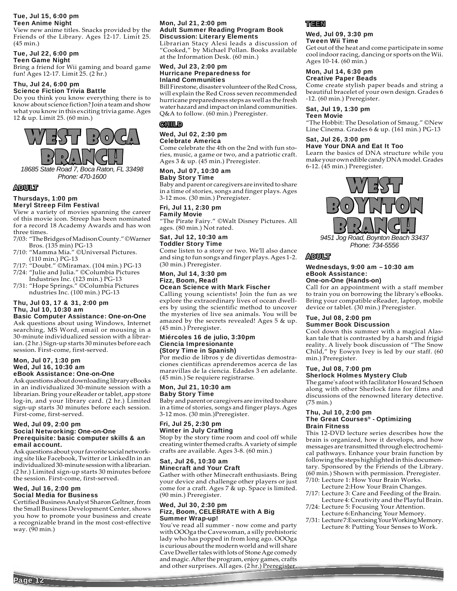#### Tue, Jul 15, 6:00 pm Teen Anime Night

View new anime titles. Snacks provided by the Friends of the Library. Ages 12-17. Limit 25. (45 min.)

### Tue, Jul 22, 6:00 pm

Teen Game Night

Bring a friend for Wii gaming and board game fun! Ages 12-17. Limit 25. (2 hr.)

#### Thu, Jul 24, 6:00 pm Science Fiction Trivia Battle

Do you think you know everything there is to know about science fiction? Join a team and show what you know in this exciting trivia game. Ages 12 & up. Limit 25. (60 min.)



*Phone: 470-1600*

### ADULT

#### Thursdays, 1:00 pm Meryl Streep Film Festival

View a variety of movies spanning the career of this movie icon. Streep has been nominated for a record 18 Academy Awards and has won three times.

- 7/03: "The Bridges of Madison County." ©Warner Bros. (135 min) PG-13
- 7/10: "Mamma Mia." ©Universal Pictures. (110 min.) PG-13
- 7/17: "Doubt." ©Miramax. (104 min.) PG-13
- 7/24: "Julie and Julia." ©Columbia Pictures Industries Inc. (123 min.) PG-13
- 7/31: "Hope Springs." ©Columbia Pictures ndustries Inc. (100 min.) PG-13

### Thu, Jul 03, 17 & 31, 2:00 pm Thu, Jul 10, 10:30 am

Basic Computer Assistance: One-on-One Ask questions about using Windows, Internet searching, MS Word, email or mousing in a 30-minute individualized session with a librarian. (2 hr.) Sign-up starts 30 minutes before each session. First-come, first-served.

#### Mon, Jul 07, 1:30 pm Wed, Jul 16, 10:30 am eBook Assistance: One-on-One

Ask questions about downloading library eBooks in an individualized 30-minute session with a librarian. Bring your eReader or tablet, app store log-in, and your library card. (2 hr.) Limited sign-up starts 30 minutes before each session. First-come, first-served.

#### Wed, Jul 09, 2:00 pm Social Networking: One-on-One Prerequisite: basic computer skills & an email account.

Ask questions about your favorite social networking site like Facebook, Twitter or LinkedIn in an individualized 30-minute session with a librarian. (2 hr.) Limited sign-up starts 30 minutes before the session. First-come, first-served.

#### Wed, Jul 16, 2:00 pm Social Media for Business

Certified Business Analyst Sharon Geltner, from the Small Business Development Center, shows you how to promote your business and create a recognizable brand in the most cost-effective way. (90 min.)

#### Mon, Jul 21, 2:00 pm Adult Summer Reading Program Book Discussion: Literary Elements

Librarian Stacy Alesi leads a discussion of "Cooked," by Michael Pollan. Books available at the Information Desk. (60 min.)

#### Wed, Jul 23, 2:00 pm Hurricane Preparedness for Inland Communities

Bill Firestone, disaster volunteer of the Red Cross, will explain the Red Cross seven recommended hurricane preparedness steps as well as the fresh water hazard and impact on inland communities. Q&A to follow. (60 min.) Preregister.

### **CHILD**

#### Wed, Jul 02, 2:30 pm Celebrate America

Come celebrate the 4th on the 2nd with fun stories, music, a game or two, and a patriotic craft. Ages 3 & up. (45 min.) Preregister.

#### Mon, Jul 07, 10:30 am Baby Story Time

Baby and parent or caregivers are invited to share in a time of stories, songs and finger plays. Ages 3-12 mos. (30 min.) Preregister.

### Fri, Jul 11, 2:30 pm

Family Movie "The Pirate Fairy." ©Walt Disney Pictures. All ages. (80 min.) Not rated.

#### Sat, Jul 12, 10:30 am Toddler Story Time

Come listen to a story or two. We'll also dance and sing to fun songs and finger plays. Ages 1-2. (30 min.) Preregister.

### Mon, Jul 14, 3:30 pm Fizz, Boom, Read!

### Ocean Science with Mark Fischer

Calling young scientists! Join the fun as we explore the extraordinary lives of ocean dwellers by using the scientific method to uncover the mysteries of live sea animals. You will be amazed by the secrets revealed! Ages 5 & up. (45 min.) Preregister.

#### Miércoles 16 de julio, 3:30pm Ciencia Impresionante (Story Time in Spanish)

Por medio de libros y de divertidas demostraciones científicas aprenderemos acerca de las maravillas de la ciencia. Edades 3 en adelante. (45 min.) Se requiere registrarse.

#### Mon, Jul 21, 10:30 am Baby Story Time

Baby and parent or caregivers are invited to share in a time of stories, songs and finger plays. Ages 3-12 mos. (30 min.)Preregister.

#### Fri, Jul 25, 2:30 pm Winter in July Crafting

Stop by the story time room and cool off while creating winter themed crafts. A variety of simple crafts are available. Ages 3-8. (60 min.)

### Sat, Jul 26, 10:30 am Minecraft and Your Craft

Gather with other Minecraft enthusiasts. Bring your device and challenge other players or just come for a craft. Ages 7 & up. Space is limited. (90 min.) Preregister.

#### Wed, Jul 30, 2:30 pm Fizz, Boom, CELEBRATE with A Big Summer Wrap-up!

You've read all summer - now come and party with OOOga the Cavewoman, a silly prehistoric lady who has popped in from long ago. OOOga is curious about the modern world and will share Cave Dweller tales with lots of Stone Age comedy and magic. After the program, enjoy games, crafts and other surprises. All ages. (2 hr.) Preregister.

### TEEN

#### Wed, Jul 09, 3:30 pm Tween Wii Time

Get out of the heat and come participate in some cool indoor racing, dancing or sports on the Wii. Ages 10-14. (60 min.)

#### Mon, Jul 14, 6:30 pm Creative Paper Beads

Come create stylish paper beads and string a beautiful bracelet of your own design. Grades 6 -12. (60 min.) Preregister.

### Sat, Jul 19, 1:30 pm

Teen Movie "The Hobbit: The Desolation of Smaug." ©New Line Cinema. Grades 6 & up. (161 min.) PG-13

### Sat, Jul 26, 3:00 pm

Have Your DNA and Eat It Too Learn the basics of DNA structure while you make your own edible candy DNA model. Grades 6-12. (45 min.) Preregister.



*Phone: 734-5556*

### ADULT

#### Wednesdays, 9:00 am – 10:30 am eBook Assistance: One-on-One (Hands-on)

Call for an appointment with a staff member to train you on borrowing the library's eBooks. Bring your compatible eReader, laptop, mobile device or tablet. (30 min.) Preregister.

#### Tue, Jul 08, 2:00 pm Summer Book Discussion

Cool down this summer with a magical Alaskan tale that is contrasted by a harsh and frigid reality. A lively book discussion of "The Snow Child," by Eowyn Ivey is led by our staff. (60 min.) Preregister.

#### Tue, Jul 08, 7:00 pm Sherlock Holmes Mystery Club

The game's afoot with facilitator Howard Schoen along with other Sherlock fans for films and discussions of the renowned literary detective. (75 min.)

#### Thu, Jul 10, 2:00 pm The Great Courses® - Optimizing Brain Fitness

This 12-DVD lecture series describes how the brain is organized, how it develops, and how messages are transmitted through electrochemical pathways. Enhance your brain function by following the steps highlighted in this documentary. Sponsored by the Friends of the Library. (60 min.) Shown with permission. Preregister. 7/10: Lecture 1: How Your Brain Works.

- Lecture 2:How Your Brain Changes.
- 7/17: Lecture 3: Care and Feeding of the Brain. Lecture 4: Creativity and the Playful Brain.
- 7/24: Lecture 5: Focusing Your Attention. Lecture 6:Enhancing Your Memory.
- 7/31: Lecture 7:Exercising Your Working Memory. Lecture 8: Putting Your Senses to Work.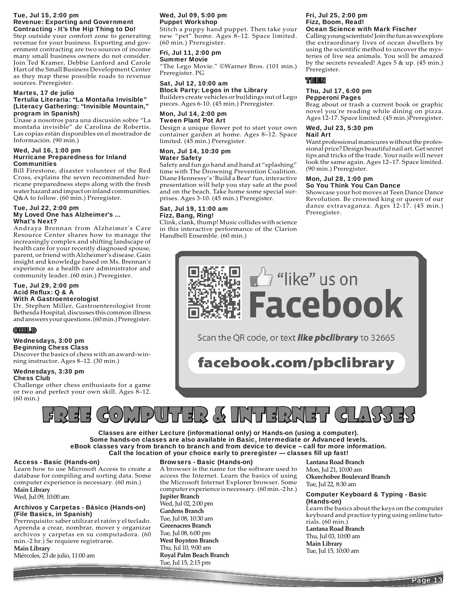#### Tue, Jul 15, 2:00 pm Revenue: Exporting and Government Contracting - It's the Hip Thing to Do!

Step outside your comfort zone to generating revenue for your business. Exporting and government contracting are two sources of income many small business owners do not consider. Join Ted Kramer, Debbie Lanford and Carole Hart of the Small Business Development Center as they map these possible roads to revenue sources. Preregister.

#### Martes, 17 de julio

#### Tertulia Literaria: "La Montaña Invisible" (Literacy Gathering: "Invisible Mountain," program in Spanish)

Únase a nosotros para una discusión sobre "La montaña invisible" de Carolina de Robertis. Las copias están disponibles en el mostrador de Información. (90 min.)

#### Wed, Jul 16, 1:00 pm Hurricane Preparedness for Inland **Communities**

Bill Firestone, disaster volunteer of the Red Cross, explains the seven recommended hurricane preparedness steps along with the fresh water hazard and impact on inland communities. Q&A to follow. (60 min.) Preregister.

#### Tue, Jul 22, 2:00 pm My Loved One has Alzheimer's ... What's Next?

Andraya Brennan from Alzheimer's Care Resource Center shares how to manage the increasingly complex and shifting landscape of health care for your recently diagnosed spouse, parent, or friend with Alzheimer's disease. Gain insight and knowledge based on Ms. Brennan's experience as a health care administrator and community leader. (60 min.) Preregister.

#### Tue, Jul 29, 2:00 pm Acid Reflux: Q & A With A Gastroenterologist

Dr. Stephen Miller, Gastroenterologist from Bethesda Hospital, discusses this common illness and answers your questions. (60 min.) Preregister.

### CHILD

#### Wednesdays, 3:00 pm Beginning Chess Class

Discover the basics of chess with an award-winning instructor. Ages 8–12. (30 min.)

#### Wednesdays, 3:30 pm Chess Club

Challenge other chess enthusiasts for a game or two and perfect your own skill. Ages 8–12. (60 min.)

### Wed, Jul 09, 5:00 pm Puppet Workshop

Stitch a puppy hand puppet. Then take your new "pet" home. Ages 8–12. Space limited. (60 min.) Preregister.

### Fri, Jul 11, 2:00 pm

Summer Movie "The Lego Movie." ©Warner Bros. (101 min.) Preregister. PG

### Sat, Jul 12, 10:00 am Block Party: Legos in the Library

Builders create vehicles or buildings out of Lego pieces. Ages 6-10. (45 min.) Preregister.

#### Mon, Jul 14, 2:00 pm Tween Plant Pot Art

Design a unique flower pot to start your own container garden at home. Ages 8–12. Space limited. (45 min.) Preregister.

### Mon, Jul 14, 10:30 pm Water Safety

Safety and fun go hand and hand at "splashing" time with The Drowning Prevention Coalition. Diane Hennessy's 'Build a Bear' fun, interactive presentation will help you stay safe at the pool and on the beach. Take home some special surprises. Ages 3-10. (45 min.) Preregister.

### Sat, Jul 19, 11:00 am Fizz, Bang, Ring!

Clink, clank, thump! Music collides with science in this interactive performance of the Clarion Handbell Ensemble. (60 min.)

#### Fri, Jul 25, 2:00 pm Fizz, Boom, Read! Ocean Science with Mark Fischer

Calling young scientists! Join the fun as we explore the extraordinary lives of ocean dwellers by using the scientific method to uncover the mysteries of live sea animals. You will be amazed by the secrets revealed! Ages 5 & up. (45 min.) Preregister.

### TEEN

#### Thu, Jul 17, 6:00 pm Pepperoni Pages

Brag about or trash a current book or graphic novel you're reading while dining on pizza. Ages 12-17. Space limited. (45 min.)Preregister.

#### Wed, Jul 23, 5:30 pm Nail Art

Want professional manicures without the professional price? Design beautiful nail art. Get secret tips and tricks of the trade. Your nails will never look the same again. Ages 12–17. Space limited. (90 min.) Preregister.

#### Mon, Jul 28, 1:00 pm So You Think You Can Dance

Showcase your hot moves at Teen Dance Dance Revolution. Be crowned king or queen of our dance extravaganza. Ages 12-17. (45 min.) Preregister.



Scan the QR code, or text **like pbclibrary** to 32665

facebook.com/pbclibrary



Classes are either Lecture (informational only) or Hands-on (using a computer). Some hands-on classes are also available in Basic, Intermediate or Advanced levels. eBook classes vary from branch to branch and from device to device – call for more information. Call the location of your choice early to preregister — classes fill up fast!

### Access - Basic (Hands-on)

Learn how to use Microsoft Access to create a database for compiling and sorting data. Some computer experience is necessary. (60 min.) **Main Library**

Wed, Jul 09, 10:00 am

#### Archivos y Carpetas - Básico (Hands-on) (File Basics, in Spanish)

Prerrequisito: saber utilizar el ratón y el teclado. Aprenda a crear, nombrar, mover y organizar archivos y carpetas en su computadora. (60 min.-2 hr.) Se requiere registrarse.

**Main Library**

Miércoles, 23 de julio, 11:00 am

### Browsers - Basic (Hands-on)

A browser is the name for the software used to access the Internet. Learn the basics of using the Microsoft Internet Explorer browser. Some computer experience is necessary. (60 min.-2 hr.)

### **Jupiter Branch**

Wed, Jul 02, 2:00 pm **Gardens Branch** Tue, Jul 08, 10:30 am **Greenacres Branch** Tue, Jul 08, 6:00 pm **West Boynton Branch** Thu, Jul 10, 9:00 am **Royal Palm Beach Branch** Tue, Jul 15, 2:15 pm

**Lantana Road Branch** Mon, Jul 21, 10:00 am **Okeechobee Boulevard Branch** Tue, Jul 22, 8:30 am

#### Computer Keyboard & Typing - Basic (Hands-on)

Learn the basics about the keys on the computer keyboard and practice typing using online tutorials. (60 min.) **Lantana Road Branch** Thu, Jul 03, 10:00 am **Main Library**

Tue, Jul 15, 10:00 am

Page 13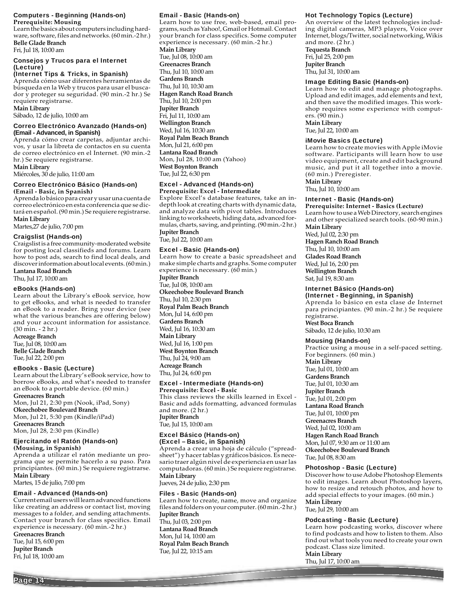#### Computers - Beginning (Hands-on) **Prerequisite: Mousing**

Learn the basics about computers including hardware, software, files and networks. (60 min.-2 hr.) **Belle Glade Branch**

### Fri, Jul 18, 10:00 am

#### Consejos y Trucos para el Internet (Lecture)

### (Internet Tips & Tricks, in Spanish)

Aprenda cómo usar diferentes herramientas de búsqueda en la Web y trucos para usar el buscador y proteger su seguridad. (90 min.-2 hr.) Se requiere registrarse.

### **Main Library**

Sábado, 12 de julio, 10:00 am

#### Correo Electrónico Avanzado (Hands-on) **(Email - Advanced, in Spanish)**

Aprenda cómo crear carpetas, adjuntar archivos, y usar la libreta de contactos en su cuenta de correo electrónico en el Internet. (90 min.-2 hr.) Se requiere registrarse.

### **Main Library**

Miércoles, 30 de julio, 11:00 am

#### Correo Electrónico Básico (Hands-on) **(Email - Basic, in Spanish)**

Aprenda lo básico para crear y usar una cuenta de correo electrónico en esta conferencia que se dictará en español. (90 min.) Se requiere registrarse. **Main Library**

Martes,27 de julio, 7:00 pm

### Craigslist (Hands-on)

Craigslist is a free community-moderated website for posting local classifieds and forums. Learn how to post ads, search to find local deals, and discover information about local events. (60 min.) **Lantana Road Branch**

Thu, Jul 17, 10:00 am

### eBooks (Hands-on)

Learn about the Library's eBook service, how to get eBooks, and what is needed to transfer an eBook to a reader. Bring your device (see what the various branches are offering below) and your account information for assistance. (30 min. - 2 hr.)

**Acreage Branch** Tue, Jul 08, 10:00 am **Belle Glade Branch** Tue, Jul 22, 2:00 pm

### eBooks - Basic (Lecture)

Learn about the Library's eBook service, how to borrow eBooks, and what's needed to transfer an eBook to a portable device. (60 min.) **Greenacres Branch**

Mon, Jul 21, 2:30 pm (Nook, iPad, Sony) **Okeechobee Boulevard Branch** Mon, Jul 21, 5:30 pm (Kindle/iPad) **Greenacres Branch** Mon, Jul 28, 2:30 pm (Kindle)

### Ejercitando el Ratón (Hands-on)

### **(Mousing, in Spanish)**

Aprenda a utilizar el ratón mediante un programa que se permite hacerlo a su paso. Para principiantes. (60 min.) Se requiere registrarse. **Main Library**

Martes, 15 de julio, 7:00 pm

## Email - Advanced (Hands-on)

Current email users will learn advanced functions like creating an address or contact list, moving messages to a folder, and sending attachments. Contact your branch for class specifics. Email experience is necessary. (60 min.-2 hr.)

**Greenacres Branch**

Tue, Jul 15, 6:00 pm **Jupiter Branch** Fri, Jul 18, 10:00 am

Page 14

### Email - Basic (Hands-on)

Learn how to use free, web-based, email programs, such as Yahoo!, Gmail or Hotmail. Contact your branch for class specifics. Some computer experience is necessary. (60 min.-2 hr.) **Main Library** Tue, Jul 08, 10:00 am **Greenacres Branch** Thu, Jul 10, 10:00 am **Gardens Branch** Thu, Jul 10, 10:30 am **Hagen Ranch Road Branch** Thu, Jul 10, 2:00 pm **Jupiter Branch** Fri, Jul 11, 10:00 am **Wellington Branch** Wed, Jul 16, 10:30 am **Royal Palm Beach Branch** Mon, Jul 21, 6:00 pm **Lantana Road Branch** Mon, Jul 28, 10:00 am (Yahoo) **West Boynton Branch** Tue, Jul 22, 6:30 pm

### Excel - Advanced (Hands-on)

**Prerequisite: Excel - Intermediate** Explore Excel's database features, take an indepth look at creating charts with dynamic data, and analyze data with pivot tables. Introduces linking to worksheets, hiding data, advanced formulas, charts, saving, and printing. (90 min.-2 hr.) **Jupiter Branch**

Tue, Jul 22, 10:00 am

### Excel - Basic (Hands-on)

Learn how to create a basic spreadsheet and make simple charts and graphs. Some computer experience is necessary. (60 min.)

**Jupiter Branch** Tue, Jul 08, 10:00 am **Okeechobee Boulevard Branch** Thu, Jul 10, 2:30 pm **Royal Palm Beach Branch** Mon, Jul 14, 6:00 pm **Gardens Branch** Wed, Jul 16, 10:30 am **Main Library** Wed, Jul 16, 1:00 pm **West Boynton Branch** Thu, Jul 24, 9:00 am **Acreage Branch** Thu, Jul 24, 6:00 pm

### Excel - Intermediate (Hands-on)

**Prerequisite: Excel - Basic** This class reviews the skills learned in Excel - Basic and adds formatting, advanced formulas and more. (2 hr.) **Jupiter Branch** Tue, Jul 15, 10:00 am

#### Excel Básico (Hands-on) (Excel – Basic, in Spanish)

Aprenda a crear una hoja de cálculo ("spreadsheet") y hacer tablas y gráficos básicos. Es necesario traer algún nivel de experiencia en usar las computadoras. (60 min.) Se requiere registrarse. **Main Library**

Jueves, 24 de julio, 2:30 pm

#### Files - Basic (Hands-on)

Learn how to create, name, move and organize files and folders on your computer. (60 min.-2 hr.) **Jupiter Branch** Thu, Jul 03, 2:00 pm **Lantana Road Branch** Mon, Jul 14, 10:00 am **Royal Palm Beach Branch** Tue, Jul 22, 10:15 am

#### Hot Technology Topics (Lecture)

An overview of the latest technologies including digital cameras, MP3 players, Voice over Internet, blogs/Twitter, social networking, Wikis and more. (2 hr.)

**Tequesta Branch** Fri, Jul 25, 2:00 pm **Jupiter Branch** Thu, Jul 31, 10:00 am

### Image Editing Basic (Hands-on)

Learn how to edit and manage photographs. Upload and edit images, add elements and text, and then save the modified images. This workshop requires some experience with computers. (90 min.)

**Main Library** Tue, Jul 22, 10:00 am

### iMovie Basics (Lecture)

Learn how to create movies with Apple iMovie software. Participants will learn how to use video equipment, create and edit background music, and put it all together into a movie. (60 min.) Preregister.

### **Main Library**

Thu, Jul 10, 10:00 am

### Internet - Basic (Hands-on)

**Prerequisite: Internet - Basics (Lecture)** Learn how to use a Web Directory, search engines and other specialized search tools. (60-90 min.) **Main Library**

Wed, Jul 02, 2:30 pm **Hagen Ranch Road Branch**

Thu, Jul 10, 10:00 am

**Glades Road Branch** Wed, Jul 16, 2:00 pm

**Wellington Branch**

Sat, Jul 19, 8:30 am

#### Internet Básico (Hands-on) (Internet - Beginning, in Spanish)

Aprenda lo básico en esta clase de Internet para principiantes. (90 min.-2 hr.) Se requiere registrarse. **West Boca Branch**

Sábado, 12 de julio, 10:30 am

#### Mousing (Hands-on)

Practice using a mouse in a self-paced setting. For beginners. (60 min.) **Main Library** Tue, Jul 01, 10:00 am

**Gardens Branch** Tue, Jul 01, 10:30 am **Jupiter Branch** Tue, Jul 01, 2:00 pm **Lantana Road Branch** Tue, Jul 01, 10:00 pm **Greenacres Branch** Wed, Jul 02, 10:00 am **Hagen Ranch Road Branch**

Mon, Jul 07, 9:30 am or 11:00 am **Okeechobee Boulevard Branch**

Tue, Jul 08, 8:30 am

### Photoshop - Basic (Lecture)

Discover how to use Adobe Photoshop Elements to edit images. Learn about Photoshop layers, how to resize and retouch photos, and how to add special effects to your images. (60 min.) **Main Library**

Tue, Jul 29, 10:00 am

### Podcasting - Basic (Lecture)

Learn how podcasting works, discover where to find podcasts and how to listen to them. Also find out what tools you need to create your own podcast. Class size limited. **Main Library**

Thu, Jul 17, 10:00 am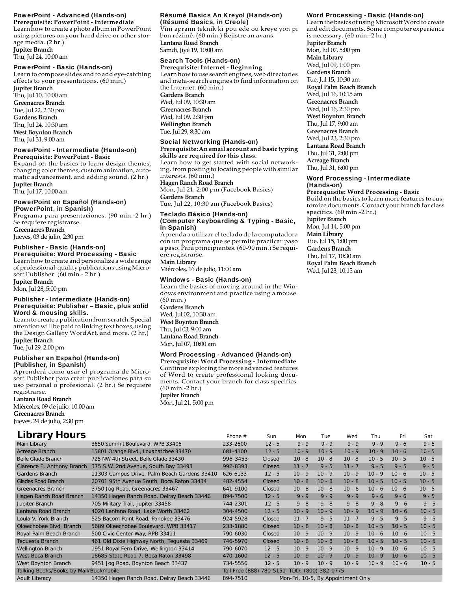#### PowerPoint - Advanced (Hands-on)

**Prerequisite: PowerPoint - Intermediate** Learn how to create a photo album in PowerPoint using pictures on your hard drive or other storage media. (2 hr.) **Jupiter Branch**

Thu, Jul 24, 10:00 am

#### PowerPoint - Basic (Hands-on)

Learn to compose slides and to add eye-catching effects to your presentations. (60 min.) **Jupiter Branch** Thu, Jul 10, 10:00 am **Greenacres Branch** Tue, Jul 22, 2:30 pm **Gardens Branch** Thu, Jul 24, 10:30 am

**West Boynton Branch** Thu, Jul 31, 9:00 am

### PowerPoint - Intermediate (Hands-on)

**Prerequisite: PowerPoint - Basic** Expand on the basics to learn design themes, changing color themes, custom animation, automatic advancement, and adding sound. (2 hr.) **Jupiter Branch**

Thu, Jul 17, 10:00 am

#### PowerPoint en Español (Hands-on) (PowerPoint, in Spanish)

Programa para presentaciones. (90 min.-2 hr.) Se requiere registrarse. **Greenacres Branch** Jueves, 03 de julio, 2:30 pm Publisher - Basic (Hands-on)

## Prerequisite: Word Processing - Basic

Learn how to create and personalize a wide range of professional-quality publications using Microsoft Publisher. (60 min.- 2 hr.)

**Jupiter Branch**

### Mon, Jul 28, 5:00 pm

#### Publisher - Intermediate (Hands-on) Prerequisite: Publisher – Basic, plus solid Word & mousing skills.

Learn to create a publication from scratch. Special attention will be paid to linking text boxes, using the Design Gallery WordArt, and more. (2 hr.) **Jupiter Branch**

Tue, Jul 29, 2:00 pm

#### Publisher en Español (Hands-on) (Publisher, in Spanish)

Aprenderá como usar el programa de Microsoft Publisher para crear publicaciones para su uso personal o profesional. (2 hr.) Se requiere registrarse.

**Lantana Road Branch** Miércoles, 09 de julio, 10:00 am **Greenacres Branch** Jueves, 24 de julio, 2:30 pm

#### Résumé Basics An Kreyol (Hands-on) (Résumé Basics, in Creole)

Vini aprann teknik ki pou ede ou kreye yon pi bon rézimé. (60 min.) Rejistre an avans. **Lantana Road Branch** Samdi, Jiyé 19, 10:00 am

### Search Tools (Hands-on)

**Prerequisite: Internet - Beginning** Learn how to use search engines, web directories and meta-search engines to find information on the Internet. (60 min.) **Gardens Branch** Wed, Jul 09, 10:30 am **Greenacres Branch** Wed, Jul 09, 2:30 pm **Wellington Branch** Tue, Jul 29, 8:30 am

#### Social Networking (Hands-on)

#### **Prerequisite: An email account and basic typing skills are required for this class.**

Learn how to get started with social networking, from posting to locating people with similar interests. (60 min.) **Hagen Ranch Road Branch** Mon, Jul 21, 2:00 pm (Facebook Basics)

**Gardens Branch** Tue, Jul 22, 10:30 am (Facebook Basics)

#### Teclado Básico (Hands-on) (Computer Keyboarding & Typing - Basic, in Spanish)

Aprenda a utilizar el teclado de la computadora con un programa que se permite practicar paso a paso. Para principiantes. (60-90 min.) Se requiere registrarse. **Main Library**

Miércoles, 16 de julio, 11:00 am

#### Windows - Basic (Hands-on)

Learn the basics of moving around in the Windows environment and practice using a mouse. (60 min.) **Gardens Branch** Wed, Jul 02, 10:30 am **West Boynton Branch** Thu, Jul 03, 9:00 am **Lantana Road Branch** Mon, Jul 07, 10:00 am

### Word Processing - Advanced (Hands-on)

**Prerequisite: Word Processing - Intermediate** Continue exploring the more advanced features of Word to create professional looking documents. Contact your branch for class specifics. (60 min.-2 hr.) **Jupiter Branch** Mon, Jul 21, 5:00 pm

#### Word Processing - Basic (Hands-on)

Learn the basics of using Microsoft Word to create and edit documents. Some computer experience is necessary. (60 min.-2 hr.) **Jupiter Branch** Mon, Jul 07, 5:00 pm **Main Library** Wed, Jul 09, 1:00 pm **Gardens Branch** Tue, Jul 15, 10:30 am **Royal Palm Beach Branch** Wed, Jul 16, 10:15 am **Greenacres Branch** Wed, Jul 16, 2:30 pm **West Boynton Branch** Thu, Jul 17, 9:00 am **Greenacres Branch** Wed, Jul 23, 2:30 pm **Lantana Road Branch** Thu, Jul 31, 2:00 pm **Acreage Branch** Thu, Jul 31, 6:00 pm

#### Word Processing - Intermediate (Hands-on)

**Prerequisite: Word Processing - Basic** Build on the basics to learn more features to customize documents. Contact your branch for class specifics. (60 min.-2 hr.)

Page 15

**Jupiter Branch**

Mon, Jul 14, 5:00 pm **Main Library** Tue, Jul 15, 1:00 pm

**Gardens Branch** Thu, Jul 17, 10:30 am **Royal Palm Beach Branch** Wed, Jul 23, 10:15 am

**Library Hours** *Phone # Sun Mon Tue Wed Thu Fri Sat* Main Library 3650 Summit Boulevard, WPB 33406 233-2600 12 - 5 9 - 9 9 - 9 - 9 - 9 - 9 - 9 - 6 9 - 5 Acreage Branch 15801 Orange Blvd., Loxahatchee 33470 681-4100 12 - 5 10 - 9 10 - 9 10 - 9 10 - 9 10 - 6 10 - 5 Belle Glade Branch 725 NW 4th Street, Belle Glade 33430 996-3453 Closed 10 - 8 10 - 8 10 - 8 10 - 5 10 - 5 10 - 5 Clarence E. Anthony Branch 375 S.W. 2nd Avenue, South Bay 33493 992-8393 Closed 11 - 7 9 - 5 11 - 7 9 - 5 9 - 5 9 - 5 Gardens Branch 11303 Campus Drive, Palm Beach Gardens 33410 626-6133 12 - 5 10 - 9 10 - 9 10 - 9 10 - 9 10 - 6 10 - 5 Glades Road Branch 20701 95th Avenue South, Boca Raton 33434 482-4554 Closed 10 - 8 10 - 8 10 - 8 10 - 5 10 - 5 10 - 5 Greenacres Branch 3750 Jog Road, Greenacres 33467 641-9100 Closed 10 - 8 10 - 8 10 - 6 10 - 6 10 - 6 10 - 5 Hagen Ranch Road Branch 14350 Hagen Ranch Road, Delray Beach 33446 894-7500 12-5 9-9 9-9 9-9 9-9 9-6 9-6 9-5 Jupiter Branch 705 Military Trail, Jupiter 33458 744-2301 12 - 5 9 - 8 9 - 8 9 - 8 9 - 8 9 - 6 9 - 5 Lantana Road Branch 4020 Lantana Road, Lake Worth 33462 304-4500 12 - 5 10 - 9 10 - 9 10 - 9 10 - 9 10 - 6 10 - 5 Loula V. York Branch 525 Bacom Point Road, Pahokee 33476 924-5928 Closed 11 - 7 9 - 5 11 - 7 9 - 5 9 - 5 9 - 5 Okeechobee Blvd. Branch 5689 Okeechobee Boulevard, WPB 33417 233-1880 Closed 10 - 8 10 - 8 10 - 8 10 - 5 10 - 5 10 - 5

Royal Palm Beach Branch 500 Civic Center Way, RPB 33411 790-6030 Closed 10 - 9 10 - 9 10 - 9 10 - 6 10 - 6 10 - 5 Tequesta Branch 461 Old Dixie Highway North, Tequesta 33469 746-5970 Closed 10 - 8 10 - 8 10 - 8 10 - 5 10 - 5 Wellington Branch 1951 Royal Fern Drive, Wellington 33414 790-6070 12 - 5 10 - 9 10 - 9 10 - 9 10 - 9 10 - 6 10 - 5 West Boca Branch 18685 State Road 7, Boca Raton 33498 470-1600 12 - 5 10 - 9 10 - 9 10 - 9 10 - 9 10 - 6 10 - 5 West Boynton Branch 9451 Jog Road, Boynton Beach 33437 734-5556 12 - 5 10 - 9 10 - 9 10 - 9 10 - 9 10 - 6 10 - 5

Talking Books/Books by Mail/Bookmobile Toll Free (888) 780-5151 TDD: (800) 382-0775

Adult Literacy 14350 Hagen Ranch Road, Delray Beach 33446 894-7510 Mon-Fri, 10-5, By Appointment Only